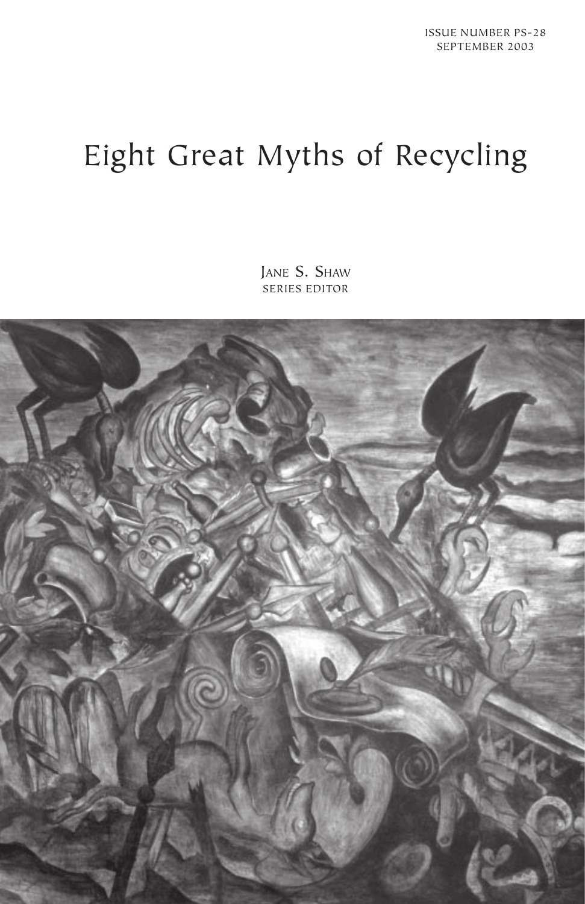# Eight Great Myths of Recycling

JANE S. SHAW SERIES EDITOR

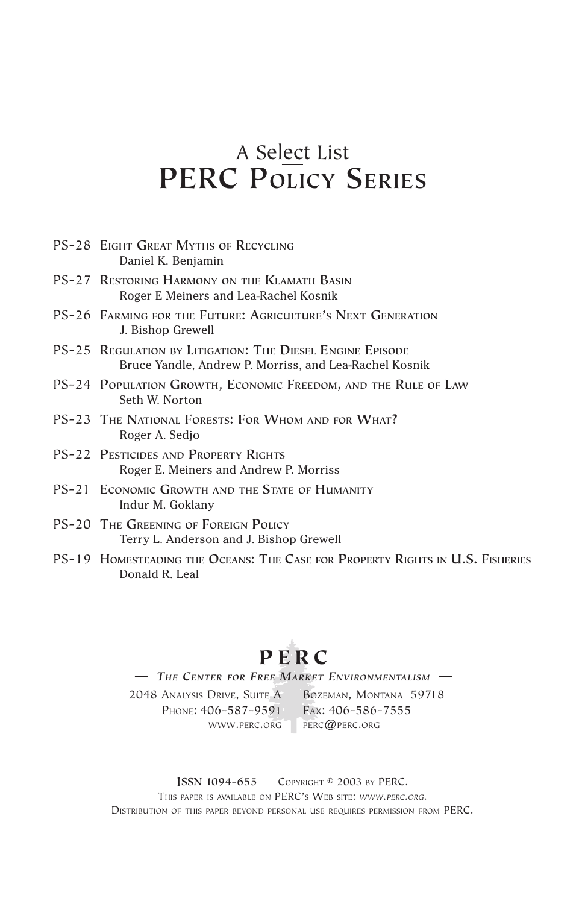### A Select List **PERC POLICY SERIES**

| PS-28 EIGHT GREAT MYTHS OF RECYCLING<br>Daniel K. Benjamin                                                          |
|---------------------------------------------------------------------------------------------------------------------|
| PS-27 RESTORING HARMONY ON THE KLAMATH BASIN<br>Roger E Meiners and Lea-Rachel Kosnik                               |
| PS-26 FARMING FOR THE FUTURE: AGRICULTURE'S NEXT GENERATION<br>J. Bishop Grewell                                    |
| PS-25 REGULATION BY LITIGATION: THE DIESEL ENGINE EPISODE<br>Bruce Yandle, Andrew P. Morriss, and Lea-Rachel Kosnik |
| PS-24 POPULATION GROWTH, ECONOMIC FREEDOM, AND THE RULE OF LAW<br>Seth W. Norton                                    |
| PS-23 THE NATIONAL FORESTS: FOR WHOM AND FOR WHAT?<br>Roger A. Sedjo                                                |
| PS-22 PESTICIDES AND PROPERTY RIGHTS<br>Roger E. Meiners and Andrew P. Morriss                                      |
| PS-21 ECONOMIC GROWTH AND THE STATE OF HUMANITY<br>Indur M. Goklany                                                 |
| <b>PS-20 THE GREENING OF FOREIGN POLICY</b><br>Terry L. Anderson and J. Bishop Grewell                              |
|                                                                                                                     |

PS-19 **HOMESTEADING THE OCEANS: THE CASE FOR PROPERTY RIGHTS IN U.S. FISHERIES** Donald R. Leal

**PERC** — *THE CENTER FOR FREE MARKET ENVIRONMENTALISM* —

2048 ANALYSIS DRIVE, SUITE A BOZEMAN, MONTANA 59718 Phone: 406-587-9591 Fax: 406-586-7555

WWW.PERC.ORG PERC@PERC.ORG

**ISSN 1094-655** COPYRIGHT © 2003 BY PERC. THIS PAPER IS AVAILABLE ON PERC'S WEB SITE: *WWW.PERC.ORG.* DISTRIBUTION OF THIS PAPER BEYOND PERSONAL USE REQUIRES PERMISSION FROM PERC.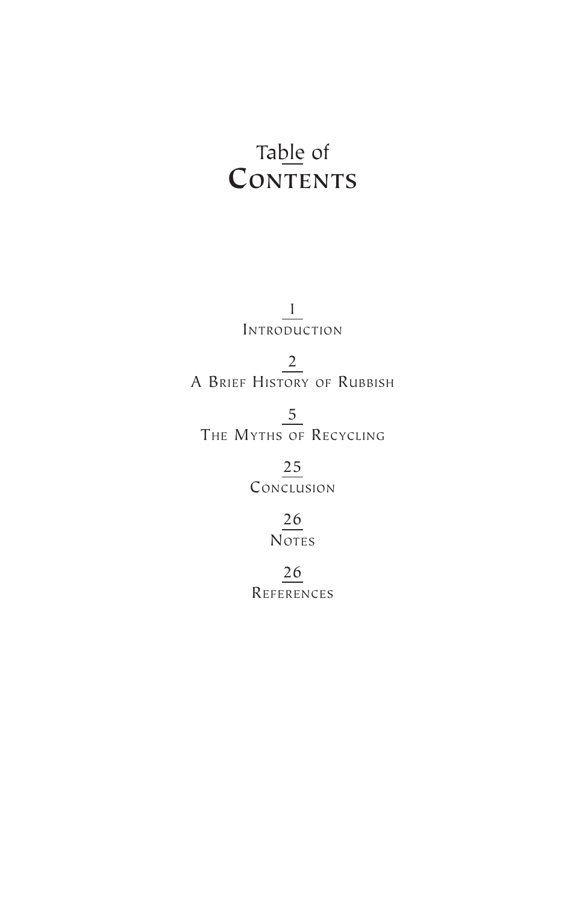## Table of **CONTENTS**

1 INTRODUCTION

2 A BRIEF HISTORY OF RUBBISH

5 THE MYTHS OF RECYCLING

> 25 **CONCLUSION**

> > 26 **NOTES**

26 REFERENCES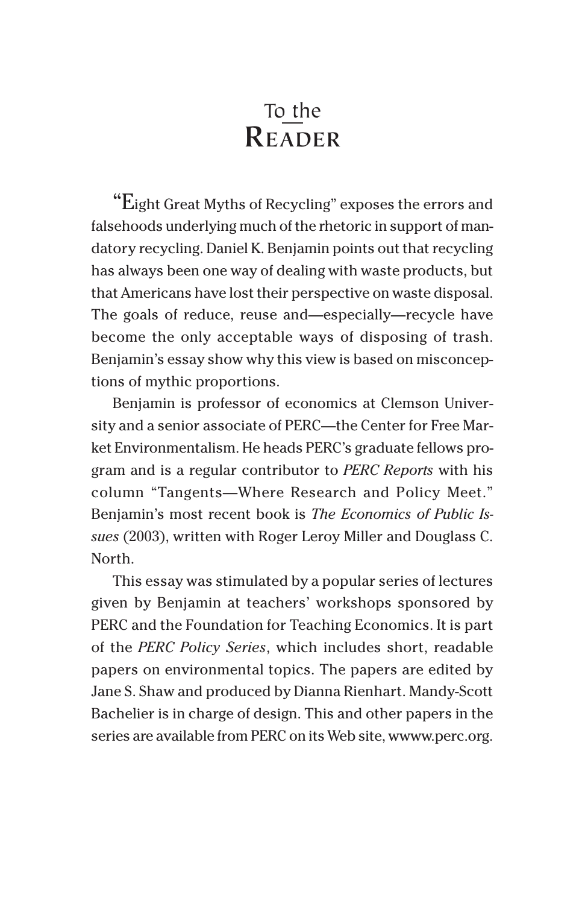### To the **READER**

"Eight Great Myths of Recycling" exposes the errors and falsehoods underlying much of the rhetoric in support of mandatory recycling. Daniel K. Benjamin points out that recycling has always been one way of dealing with waste products, but that Americans have lost their perspective on waste disposal. The goals of reduce, reuse and—especially—recycle have become the only acceptable ways of disposing of trash. Benjamin's essay show why this view is based on misconceptions of mythic proportions.

Benjamin is professor of economics at Clemson University and a senior associate of PERC—the Center for Free Market Environmentalism. He heads PERC's graduate fellows program and is a regular contributor to *PERC Reports* with his column "Tangents—Where Research and Policy Meet." Benjamin's most recent book is *The Economics of Public Issues* (2003), written with Roger Leroy Miller and Douglass C. North.

This essay was stimulated by a popular series of lectures given by Benjamin at teachers' workshops sponsored by PERC and the Foundation for Teaching Economics. It is part of the *PERC Policy Series*, which includes short, readable papers on environmental topics. The papers are edited by Jane S. Shaw and produced by Dianna Rienhart. Mandy-Scott Bachelier is in charge of design. This and other papers in the series are available from PERC on its Web site, wwww.perc.org.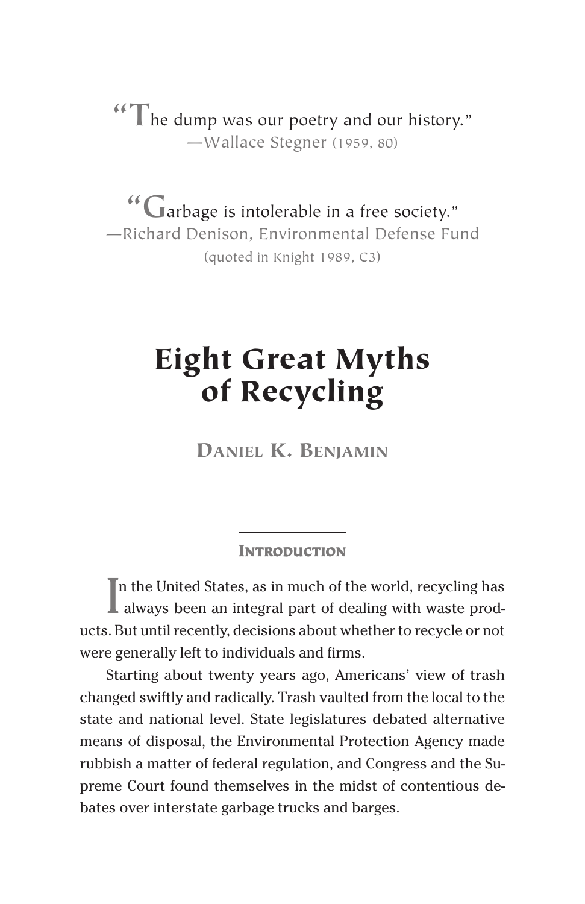**"T**he dump was our poetry and our history." —Wallace Stegner (1959, 80)

**"G**arbage is intolerable in a free society." —Richard Denison, Environmental Defense Fund (quoted in Knight 1989, C3)

# **Eight Great Myths of Recycling**

**DANIEL K. BENJAMIN**

#### **INTRODUCTION**

 $\prod$ n the United States, as in much of the world, recycling has always been an integral part of dealing with waste prodn the United States, as in much of the world, recycling has ucts. But until recently, decisions about whether to recycle or not were generally left to individuals and firms.

Starting about twenty years ago, Americans' view of trash changed swiftly and radically. Trash vaulted from the local to the state and national level. State legislatures debated alternative means of disposal, the Environmental Protection Agency made rubbish a matter of federal regulation, and Congress and the Supreme Court found themselves in the midst of contentious debates over interstate garbage trucks and barges.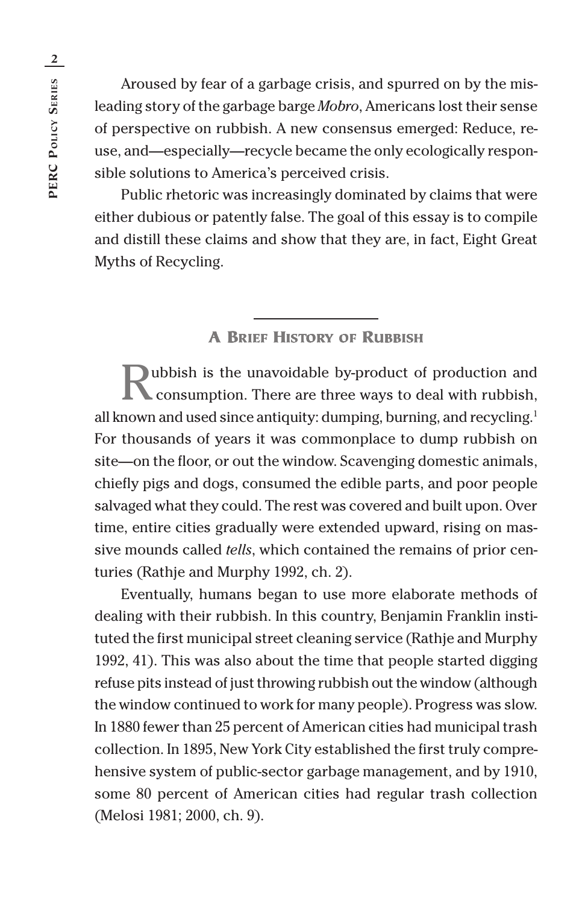Aroused by fear of a garbage crisis, and spurred on by the misleading story of the garbage barge *Mobro*, Americans lost their sense of perspective on rubbish. A new consensus emerged: Reduce, reuse, and—especially—recycle became the only ecologically responsible solutions to America's perceived crisis.

Public rhetoric was increasingly dominated by claims that were either dubious or patently false. The goal of this essay is to compile and distill these claims and show that they are, in fact, Eight Great Myths of Recycling.

#### **A BRIEF HISTORY OF RUBBISH**

whish is the unavoidable by-product of production and consumption. There are three ways to deal with rubbish, all known and used since antiquity: dumping, burning, and recycling.<sup>1</sup> For thousands of years it was commonplace to dump rubbish on site—on the floor, or out the window. Scavenging domestic animals, chiefly pigs and dogs, consumed the edible parts, and poor people salvaged what they could. The rest was covered and built upon. Over time, entire cities gradually were extended upward, rising on massive mounds called *tells*, which contained the remains of prior centuries (Rathje and Murphy 1992, ch. 2).

Eventually, humans began to use more elaborate methods of dealing with their rubbish. In this country, Benjamin Franklin instituted the first municipal street cleaning service (Rathje and Murphy 1992, 41). This was also about the time that people started digging refuse pits instead of just throwing rubbish out the window (although the window continued to work for many people). Progress was slow. In 1880 fewer than 25 percent of American cities had municipal trash collection. In 1895, New York City established the first truly comprehensive system of public-sector garbage management, and by 1910, some 80 percent of American cities had regular trash collection (Melosi 1981; 2000, ch. 9).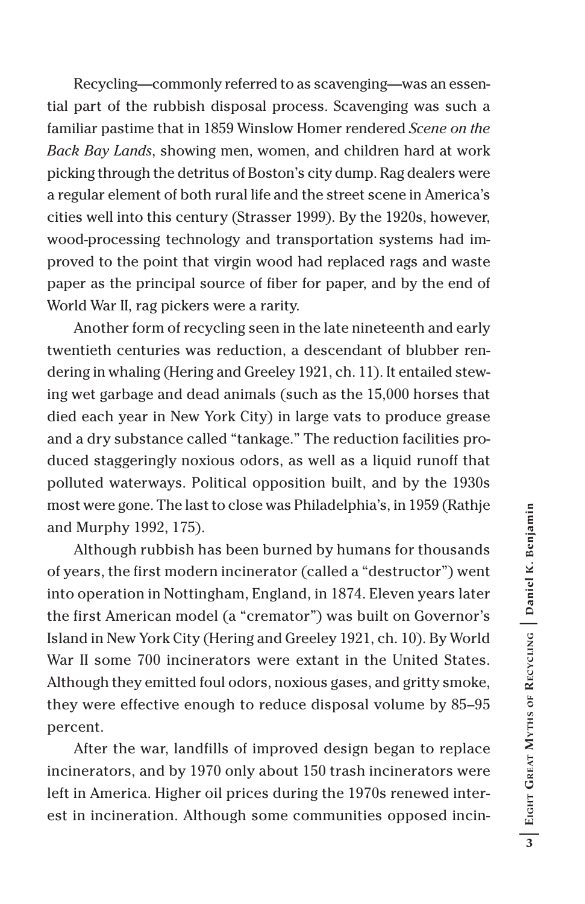Recycling—commonly referred to as scavenging—was an essential part of the rubbish disposal process. Scavenging was such a familiar pastime that in 1859 Winslow Homer rendered *Scene on the Back Bay Lands*, showing men, women, and children hard at work picking through the detritus of Boston's city dump. Rag dealers were a regular element of both rural life and the street scene in America's cities well into this century (Strasser 1999). By the 1920s, however, wood-processing technology and transportation systems had improved to the point that virgin wood had replaced rags and waste paper as the principal source of fiber for paper, and by the end of World War II, rag pickers were a rarity.

Another form of recycling seen in the late nineteenth and early twentieth centuries was reduction, a descendant of blubber rendering in whaling (Hering and Greeley 1921, ch. 11). It entailed stewing wet garbage and dead animals (such as the 15,000 horses that died each year in New York City) in large vats to produce grease and a dry substance called "tankage." The reduction facilities produced staggeringly noxious odors, as well as a liquid runoff that polluted waterways. Political opposition built, and by the 1930s most were gone. The last to close was Philadelphia's, in 1959 (Rathje and Murphy 1992, 175).

Although rubbish has been burned by humans for thousands of years, the first modern incinerator (called a "destructor") went into operation in Nottingham, England, in 1874. Eleven years later the first American model (a "cremator") was built on Governor's Island in New York City (Hering and Greeley 1921, ch. 10). By World War II some 700 incinerators were extant in the United States. Although they emitted foul odors, noxious gases, and gritty smoke, they were effective enough to reduce disposal volume by 85–95 percent.

After the war, landfills of improved design began to replace incinerators, and by 1970 only about 150 trash incinerators were left in America. Higher oil prices during the 1970s renewed interest in incineration. Although some communities opposed incin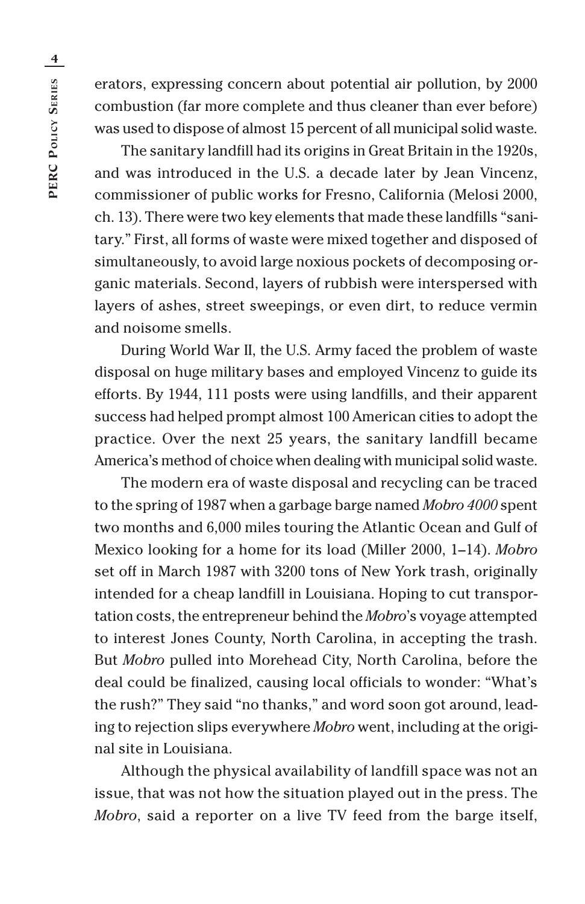erators, expressing concern about potential air pollution, by 2000 combustion (far more complete and thus cleaner than ever before) was used to dispose of almost 15 percent of all municipal solid waste.

The sanitary landfill had its origins in Great Britain in the 1920s, and was introduced in the U.S. a decade later by Jean Vincenz, commissioner of public works for Fresno, California (Melosi 2000, ch. 13). There were two key elements that made these landfills "sanitary." First, all forms of waste were mixed together and disposed of simultaneously, to avoid large noxious pockets of decomposing organic materials. Second, layers of rubbish were interspersed with layers of ashes, street sweepings, or even dirt, to reduce vermin and noisome smells.

During World War II, the U.S. Army faced the problem of waste disposal on huge military bases and employed Vincenz to guide its efforts. By 1944, 111 posts were using landfills, and their apparent success had helped prompt almost 100 American cities to adopt the practice. Over the next 25 years, the sanitary landfill became America's method of choice when dealing with municipal solid waste.

The modern era of waste disposal and recycling can be traced to the spring of 1987 when a garbage barge named *Mobro 4000* spent two months and 6,000 miles touring the Atlantic Ocean and Gulf of Mexico looking for a home for its load (Miller 2000, 1–14). *Mobro* set off in March 1987 with 3200 tons of New York trash, originally intended for a cheap landfill in Louisiana. Hoping to cut transportation costs, the entrepreneur behind the *Mobro*'s voyage attempted to interest Jones County, North Carolina, in accepting the trash. But *Mobro* pulled into Morehead City, North Carolina, before the deal could be finalized, causing local officials to wonder: "What's the rush?" They said "no thanks," and word soon got around, leading to rejection slips everywhere *Mobro* went, including at the original site in Louisiana.

Although the physical availability of landfill space was not an issue, that was not how the situation played out in the press. The *Mobro*, said a reporter on a live TV feed from the barge itself,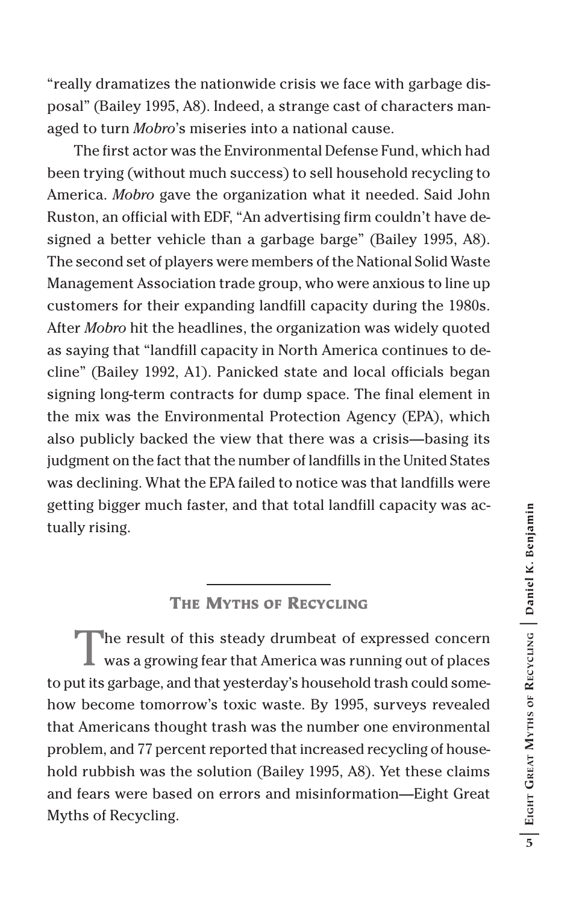"really dramatizes the nationwide crisis we face with garbage disposal" (Bailey 1995, A8). Indeed, a strange cast of characters managed to turn *Mobro*'s miseries into a national cause.

The first actor was the Environmental Defense Fund, which had been trying (without much success) to sell household recycling to America. *Mobro* gave the organization what it needed. Said John Ruston, an official with EDF, "An advertising firm couldn't have designed a better vehicle than a garbage barge" (Bailey 1995, A8). The second set of players were members of the National Solid Waste Management Association trade group, who were anxious to line up customers for their expanding landfill capacity during the 1980s. After *Mobro* hit the headlines, the organization was widely quoted as saying that "landfill capacity in North America continues to decline" (Bailey 1992, A1). Panicked state and local officials began signing long-term contracts for dump space. The final element in the mix was the Environmental Protection Agency (EPA), which also publicly backed the view that there was a crisis—basing its judgment on the fact that the number of landfills in the United States was declining. What the EPA failed to notice was that landfills were getting bigger much faster, and that total landfill capacity was actually rising.

#### **THE MYTHS OF RECYCLING**

The result of this steady drumbeat of expressed concern was a growing fear that America was running out of places to put its garbage, and that yesterday's household trash could somehow become tomorrow's toxic waste. By 1995, surveys revealed that Americans thought trash was the number one environmental problem, and 77 percent reported that increased recycling of household rubbish was the solution (Bailey 1995, A8). Yet these claims and fears were based on errors and misinformation—Eight Great Myths of Recycling.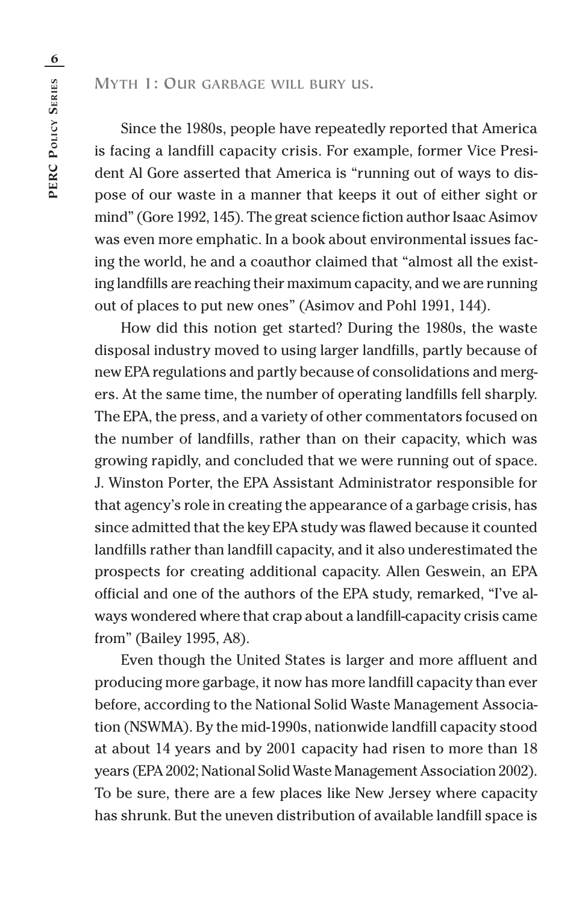**MYTH 1: OUR GARBAGE WILL BURY US.**

Since the 1980s, people have repeatedly reported that America is facing a landfill capacity crisis. For example, former Vice President Al Gore asserted that America is "running out of ways to dispose of our waste in a manner that keeps it out of either sight or mind" (Gore 1992, 145). The great science fiction author Isaac Asimov was even more emphatic. In a book about environmental issues facing the world, he and a coauthor claimed that "almost all the existing landfills are reaching their maximum capacity, and we are running out of places to put new ones" (Asimov and Pohl 1991, 144).

How did this notion get started? During the 1980s, the waste disposal industry moved to using larger landfills, partly because of new EPA regulations and partly because of consolidations and mergers. At the same time, the number of operating landfills fell sharply. The EPA, the press, and a variety of other commentators focused on the number of landfills, rather than on their capacity, which was growing rapidly, and concluded that we were running out of space. J. Winston Porter, the EPA Assistant Administrator responsible for that agency's role in creating the appearance of a garbage crisis, has since admitted that the key EPA study was flawed because it counted landfills rather than landfill capacity, and it also underestimated the prospects for creating additional capacity. Allen Geswein, an EPA official and one of the authors of the EPA study, remarked, "I've always wondered where that crap about a landfill-capacity crisis came from" (Bailey 1995, A8).

Even though the United States is larger and more affluent and producing more garbage, it now has more landfill capacity than ever before, according to the National Solid Waste Management Association (NSWMA). By the mid-1990s, nationwide landfill capacity stood at about 14 years and by 2001 capacity had risen to more than 18 years (EPA 2002; National Solid Waste Management Association 2002). To be sure, there are a few places like New Jersey where capacity has shrunk. But the uneven distribution of available landfill space is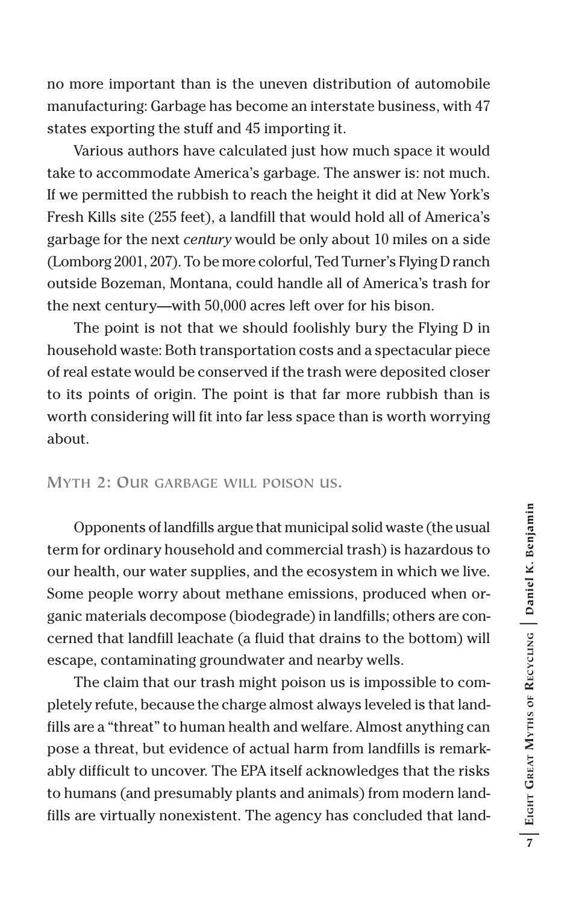no more important than is the uneven distribution of automobile manufacturing: Garbage has become an interstate business, with 47 states exporting the stuff and 45 importing it.

Various authors have calculated just how much space it would take to accommodate America's garbage. The answer is: not much. If we permitted the rubbish to reach the height it did at New York's Fresh Kills site (255 feet), a landfill that would hold all of America's garbage for the next *century* would be only about 10 miles on a side (Lomborg 2001, 207). To be more colorful, Ted Turner's Flying D ranch outside Bozeman, Montana, could handle all of America's trash for the next century—with 50,000 acres left over for his bison.

The point is not that we should foolishly bury the Flying D in household waste: Both transportation costs and a spectacular piece of real estate would be conserved if the trash were deposited closer to its points of origin. The point is that far more rubbish than is worth considering will fit into far less space than is worth worrying about.

#### **MYTH 2: OUR GARBAGE WILL POISON US.**

Opponents of landfills argue that municipal solid waste (the usual term for ordinary household and commercial trash) is hazardous to our health, our water supplies, and the ecosystem in which we live. Some people worry about methane emissions, produced when organic materials decompose (biodegrade) in landfills; others are concerned that landfill leachate (a fluid that drains to the bottom) will escape, contaminating groundwater and nearby wells.

The claim that our trash might poison us is impossible to completely refute, because the charge almost always leveled is that landfills are a "threat" to human health and welfare. Almost anything can pose a threat, but evidence of actual harm from landfills is remarkably difficult to uncover. The EPA itself acknowledges that the risks to humans (and presumably plants and animals) from modern landfills are virtually nonexistent. The agency has concluded that land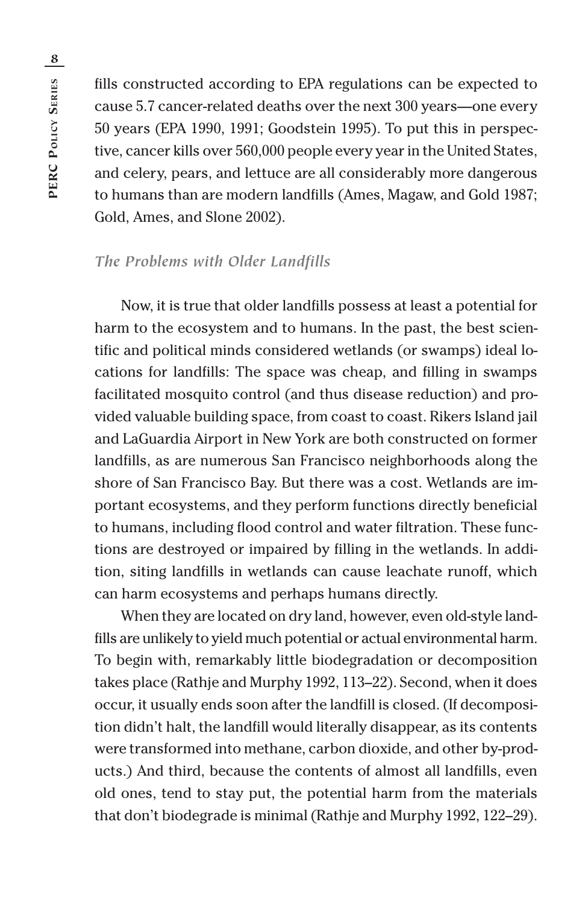fills constructed according to EPA regulations can be expected to cause 5.7 cancer-related deaths over the next 300 years—one every 50 years (EPA 1990, 1991; Goodstein 1995). To put this in perspective, cancer kills over 560,000 people every year in the United States, and celery, pears, and lettuce are all considerably more dangerous to humans than are modern landfills (Ames, Magaw, and Gold 1987; Gold, Ames, and Slone 2002).

#### *The Problems with Older Landfills*

Now, it is true that older landfills possess at least a potential for harm to the ecosystem and to humans. In the past, the best scientific and political minds considered wetlands (or swamps) ideal locations for landfills: The space was cheap, and filling in swamps facilitated mosquito control (and thus disease reduction) and provided valuable building space, from coast to coast. Rikers Island jail and LaGuardia Airport in New York are both constructed on former landfills, as are numerous San Francisco neighborhoods along the shore of San Francisco Bay. But there was a cost. Wetlands are important ecosystems, and they perform functions directly beneficial to humans, including flood control and water filtration. These functions are destroyed or impaired by filling in the wetlands. In addition, siting landfills in wetlands can cause leachate runoff, which can harm ecosystems and perhaps humans directly.

When they are located on dry land, however, even old-style landfills are unlikely to yield much potential or actual environmental harm. To begin with, remarkably little biodegradation or decomposition takes place (Rathje and Murphy 1992, 113–22). Second, when it does occur, it usually ends soon after the landfill is closed. (If decomposition didn't halt, the landfill would literally disappear, as its contents were transformed into methane, carbon dioxide, and other by-products.) And third, because the contents of almost all landfills, even old ones, tend to stay put, the potential harm from the materials that don't biodegrade is minimal (Rathje and Murphy 1992, 122–29).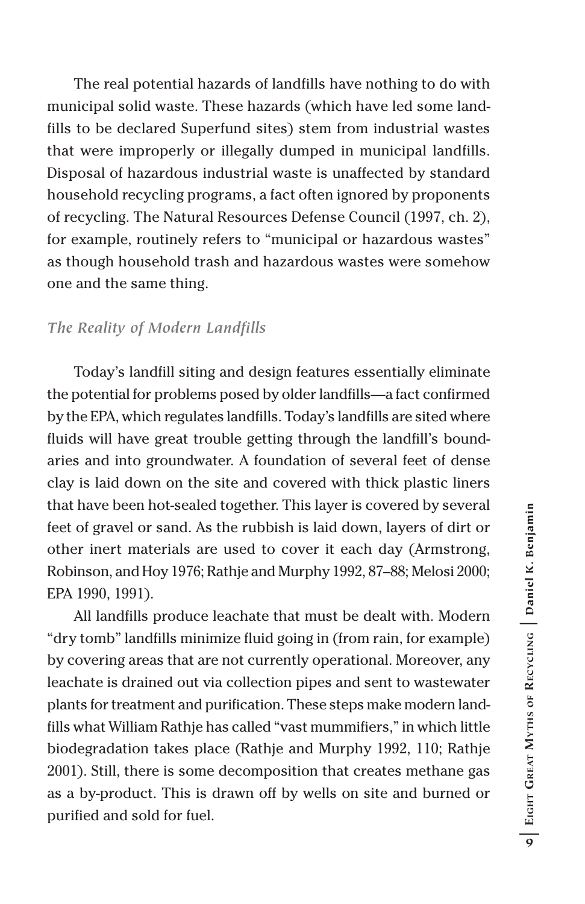The real potential hazards of landfills have nothing to do with municipal solid waste. These hazards (which have led some landfills to be declared Superfund sites) stem from industrial wastes that were improperly or illegally dumped in municipal landfills. Disposal of hazardous industrial waste is unaffected by standard household recycling programs, a fact often ignored by proponents of recycling. The Natural Resources Defense Council (1997, ch. 2), for example, routinely refers to "municipal or hazardous wastes" as though household trash and hazardous wastes were somehow one and the same thing.

#### *The Reality of Modern Landfills*

Today's landfill siting and design features essentially eliminate the potential for problems posed by older landfills—a fact confirmed by the EPA, which regulates landfills. Today's landfills are sited where fluids will have great trouble getting through the landfill's boundaries and into groundwater. A foundation of several feet of dense clay is laid down on the site and covered with thick plastic liners that have been hot-sealed together. This layer is covered by several feet of gravel or sand. As the rubbish is laid down, layers of dirt or other inert materials are used to cover it each day (Armstrong, Robinson, and Hoy 1976; Rathje and Murphy 1992, 87–88; Melosi 2000; EPA 1990, 1991).

All landfills produce leachate that must be dealt with. Modern "dry tomb" landfills minimize fluid going in (from rain, for example) by covering areas that are not currently operational. Moreover, any leachate is drained out via collection pipes and sent to wastewater plants for treatment and purification. These steps make modern landfills what William Rathje has called "vast mummifiers," in which little biodegradation takes place (Rathje and Murphy 1992, 110; Rathje 2001). Still, there is some decomposition that creates methane gas as a by-product. This is drawn off by wells on site and burned or purified and sold for fuel.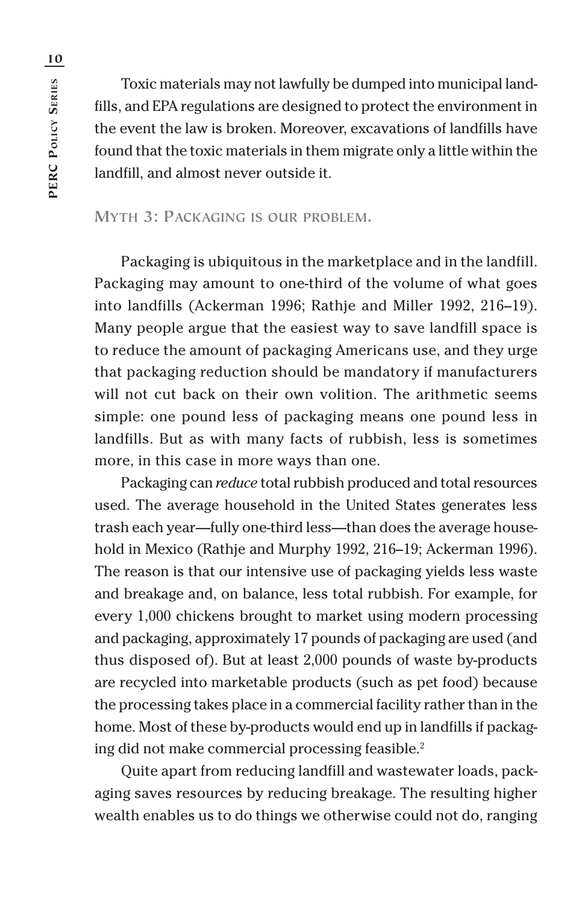Toxic materials may not lawfully be dumped into municipal landfills, and EPA regulations are designed to protect the environment in the event the law is broken. Moreover, excavations of landfills have found that the toxic materials in them migrate only a little within the landfill, and almost never outside it.

#### **MYTH 3: PACKAGING IS OUR PROBLEM.**

Packaging is ubiquitous in the marketplace and in the landfill. Packaging may amount to one-third of the volume of what goes into landfills (Ackerman 1996; Rathje and Miller 1992, 216–19). Many people argue that the easiest way to save landfill space is to reduce the amount of packaging Americans use, and they urge that packaging reduction should be mandatory if manufacturers will not cut back on their own volition. The arithmetic seems simple: one pound less of packaging means one pound less in landfills. But as with many facts of rubbish, less is sometimes more, in this case in more ways than one.

Packaging can *reduce* total rubbish produced and total resources used. The average household in the United States generates less trash each year—fully one-third less—than does the average household in Mexico (Rathje and Murphy 1992, 216–19; Ackerman 1996). The reason is that our intensive use of packaging yields less waste and breakage and, on balance, less total rubbish. For example, for every 1,000 chickens brought to market using modern processing and packaging, approximately 17 pounds of packaging are used (and thus disposed of). But at least 2,000 pounds of waste by-products are recycled into marketable products (such as pet food) because the processing takes place in a commercial facility rather than in the home. Most of these by-products would end up in landfills if packaging did not make commercial processing feasible.<sup>2</sup>

Quite apart from reducing landfill and wastewater loads, packaging saves resources by reducing breakage. The resulting higher wealth enables us to do things we otherwise could not do, ranging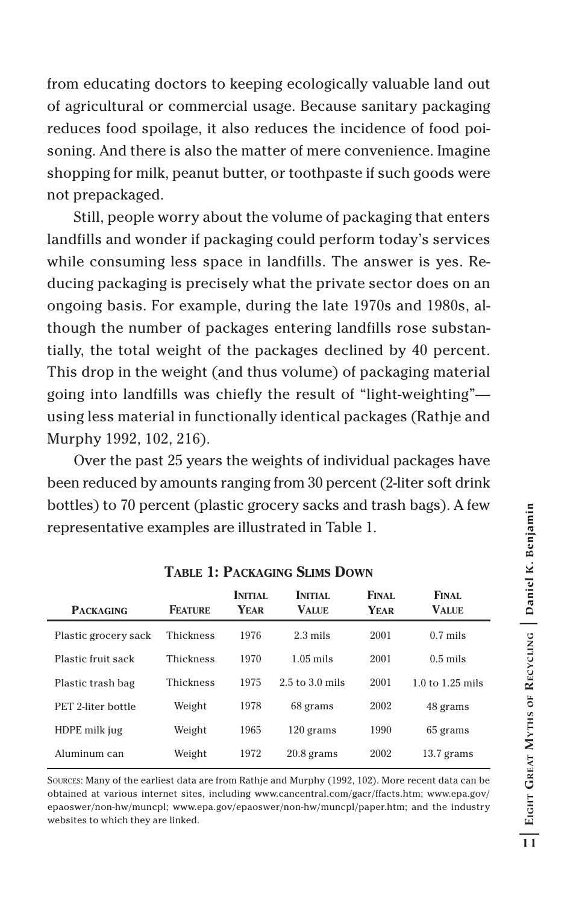from educating doctors to keeping ecologically valuable land out of agricultural or commercial usage. Because sanitary packaging reduces food spoilage, it also reduces the incidence of food poisoning. And there is also the matter of mere convenience. Imagine shopping for milk, peanut butter, or toothpaste if such goods were not prepackaged.

Still, people worry about the volume of packaging that enters landfills and wonder if packaging could perform today's services while consuming less space in landfills. The answer is yes. Reducing packaging is precisely what the private sector does on an ongoing basis. For example, during the late 1970s and 1980s, although the number of packages entering landfills rose substantially, the total weight of the packages declined by 40 percent. This drop in the weight (and thus volume) of packaging material going into landfills was chiefly the result of "light-weighting" using less material in functionally identical packages (Rathje and Murphy 1992, 102, 216).

Over the past 25 years the weights of individual packages have been reduced by amounts ranging from 30 percent (2-liter soft drink bottles) to 70 percent (plastic grocery sacks and trash bags). A few representative examples are illustrated in Table 1.

| <b>PACKAGING</b>     | <b>FEATURE</b>   | <b>INITIAL</b><br><b>YEAR</b> | <b>INITIAL</b><br><b>VALUE</b> | <b>FINAL</b><br>YEAR | FINAL.<br><b>VALUE</b> |
|----------------------|------------------|-------------------------------|--------------------------------|----------------------|------------------------|
| Plastic grocery sack | <b>Thickness</b> | 1976                          | $2.3 \text{ miles}$            | 2001                 | $0.7$ mils             |
| Plastic fruit sack   | <b>Thickness</b> | 1970                          | $1.05$ mils                    | 2001                 | $0.5$ mils             |
| Plastic trash bag    | <b>Thickness</b> | 1975                          | $2.5$ to $3.0$ mils            | 2001                 | $1.0$ to $1.25$ mils   |
| PET 2-liter bottle   | Weight           | 1978                          | 68 grams                       | 2002                 | 48 grams               |
| HDPE milk jug        | Weight           | 1965                          | $120$ grams                    | 1990                 | 65 grams               |
| Aluminum can         | Weight           | 1972                          | $20.8$ grams                   | 2002                 | $13.7$ grams           |

#### **TABLE 1: PACKAGING SLIMS DOWN**

SOURCES: Many of the earliest data are from Rathje and Murphy (1992, 102). More recent data can be obtained at various internet sites, including www.cancentral.com/gacr/ffacts.htm; www.epa.gov/ epaoswer/non-hw/muncpl; www.epa.gov/epaoswer/non-hw/muncpl/paper.htm; and the industry websites to which they are linked.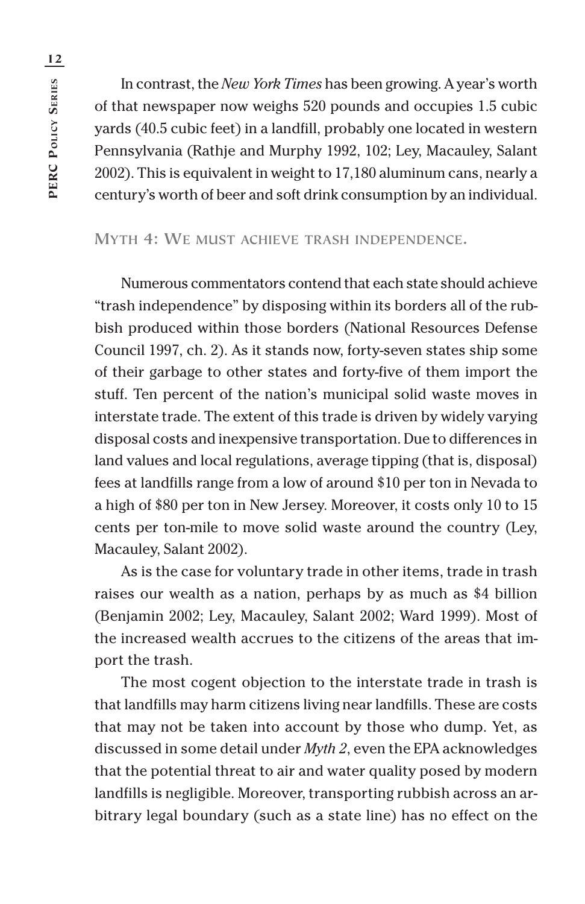In contrast, the *New York Times* has been growing. A year's worth of that newspaper now weighs 520 pounds and occupies 1.5 cubic yards (40.5 cubic feet) in a landfill, probably one located in western Pennsylvania (Rathje and Murphy 1992, 102; Ley, Macauley, Salant 2002). This is equivalent in weight to 17,180 aluminum cans, nearly a century's worth of beer and soft drink consumption by an individual.

#### **MYTH 4: WE MUST ACHIEVE TRASH INDEPENDENCE.**

Numerous commentators contend that each state should achieve "trash independence" by disposing within its borders all of the rubbish produced within those borders (National Resources Defense Council 1997, ch. 2). As it stands now, forty-seven states ship some of their garbage to other states and forty-five of them import the stuff. Ten percent of the nation's municipal solid waste moves in interstate trade. The extent of this trade is driven by widely varying disposal costs and inexpensive transportation. Due to differences in land values and local regulations, average tipping (that is, disposal) fees at landfills range from a low of around \$10 per ton in Nevada to a high of \$80 per ton in New Jersey. Moreover, it costs only 10 to 15 cents per ton-mile to move solid waste around the country (Ley, Macauley, Salant 2002).

As is the case for voluntary trade in other items, trade in trash raises our wealth as a nation, perhaps by as much as \$4 billion (Benjamin 2002; Ley, Macauley, Salant 2002; Ward 1999). Most of the increased wealth accrues to the citizens of the areas that import the trash.

The most cogent objection to the interstate trade in trash is that landfills may harm citizens living near landfills. These are costs that may not be taken into account by those who dump. Yet, as discussed in some detail under *Myth 2*, even the EPA acknowledges that the potential threat to air and water quality posed by modern landfills is negligible. Moreover, transporting rubbish across an arbitrary legal boundary (such as a state line) has no effect on the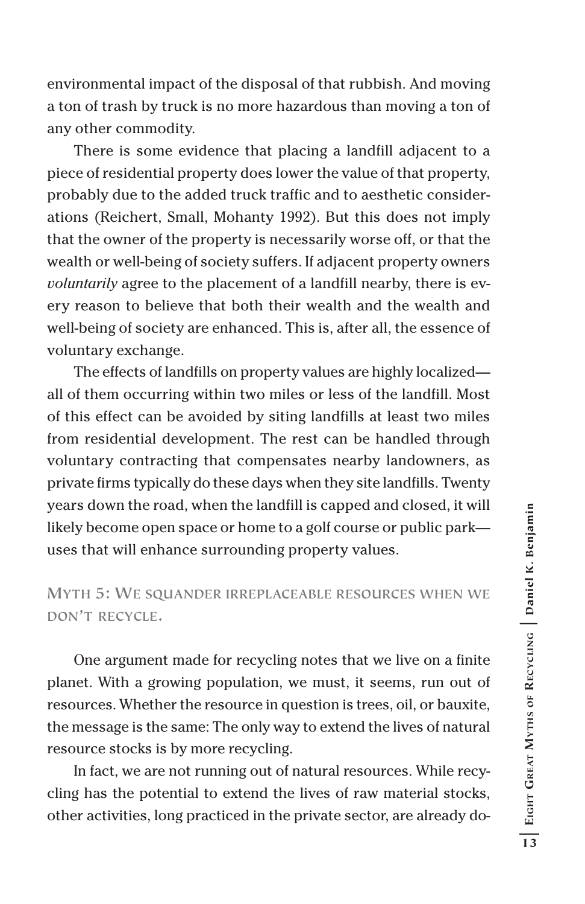environmental impact of the disposal of that rubbish. And moving a ton of trash by truck is no more hazardous than moving a ton of any other commodity.

There is some evidence that placing a landfill adjacent to a piece of residential property does lower the value of that property, probably due to the added truck traffic and to aesthetic considerations (Reichert, Small, Mohanty 1992). But this does not imply that the owner of the property is necessarily worse off, or that the wealth or well-being of society suffers. If adjacent property owners *voluntarily* agree to the placement of a landfill nearby, there is every reason to believe that both their wealth and the wealth and well-being of society are enhanced. This is, after all, the essence of voluntary exchange.

The effects of landfills on property values are highly localized all of them occurring within two miles or less of the landfill. Most of this effect can be avoided by siting landfills at least two miles from residential development. The rest can be handled through voluntary contracting that compensates nearby landowners, as private firms typically do these days when they site landfills. Twenty years down the road, when the landfill is capped and closed, it will likely become open space or home to a golf course or public park uses that will enhance surrounding property values.

### **MYTH 5: WE SQUANDER IRREPLACEABLE RESOURCES WHEN WE DON'T RECYCLE.**

One argument made for recycling notes that we live on a finite planet. With a growing population, we must, it seems, run out of resources. Whether the resource in question is trees, oil, or bauxite, the message is the same: The only way to extend the lives of natural resource stocks is by more recycling.

In fact, we are not running out of natural resources. While recycling has the potential to extend the lives of raw material stocks, other activities, long practiced in the private sector, are already do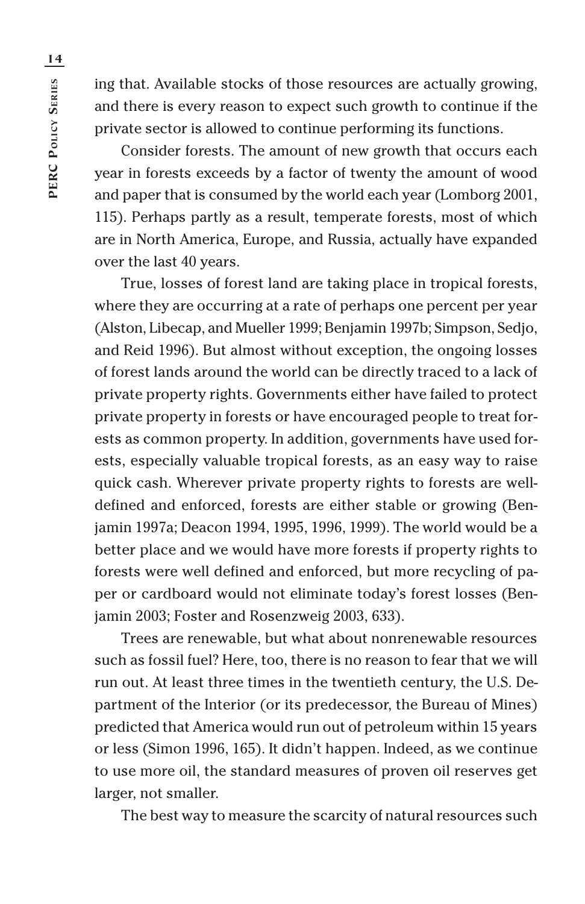ing that. Available stocks of those resources are actually growing, and there is every reason to expect such growth to continue if the private sector is allowed to continue performing its functions.

Consider forests. The amount of new growth that occurs each year in forests exceeds by a factor of twenty the amount of wood and paper that is consumed by the world each year (Lomborg 2001, 115). Perhaps partly as a result, temperate forests, most of which are in North America, Europe, and Russia, actually have expanded over the last 40 years.

True, losses of forest land are taking place in tropical forests, where they are occurring at a rate of perhaps one percent per year (Alston, Libecap, and Mueller 1999; Benjamin 1997b; Simpson, Sedjo, and Reid 1996). But almost without exception, the ongoing losses of forest lands around the world can be directly traced to a lack of private property rights. Governments either have failed to protect private property in forests or have encouraged people to treat forests as common property. In addition, governments have used forests, especially valuable tropical forests, as an easy way to raise quick cash. Wherever private property rights to forests are welldefined and enforced, forests are either stable or growing (Benjamin 1997a; Deacon 1994, 1995, 1996, 1999). The world would be a better place and we would have more forests if property rights to forests were well defined and enforced, but more recycling of paper or cardboard would not eliminate today's forest losses (Benjamin 2003; Foster and Rosenzweig 2003, 633).

Trees are renewable, but what about nonrenewable resources such as fossil fuel? Here, too, there is no reason to fear that we will run out. At least three times in the twentieth century, the U.S. Department of the Interior (or its predecessor, the Bureau of Mines) predicted that America would run out of petroleum within 15 years or less (Simon 1996, 165). It didn't happen. Indeed, as we continue to use more oil, the standard measures of proven oil reserves get larger, not smaller.

The best way to measure the scarcity of natural resources such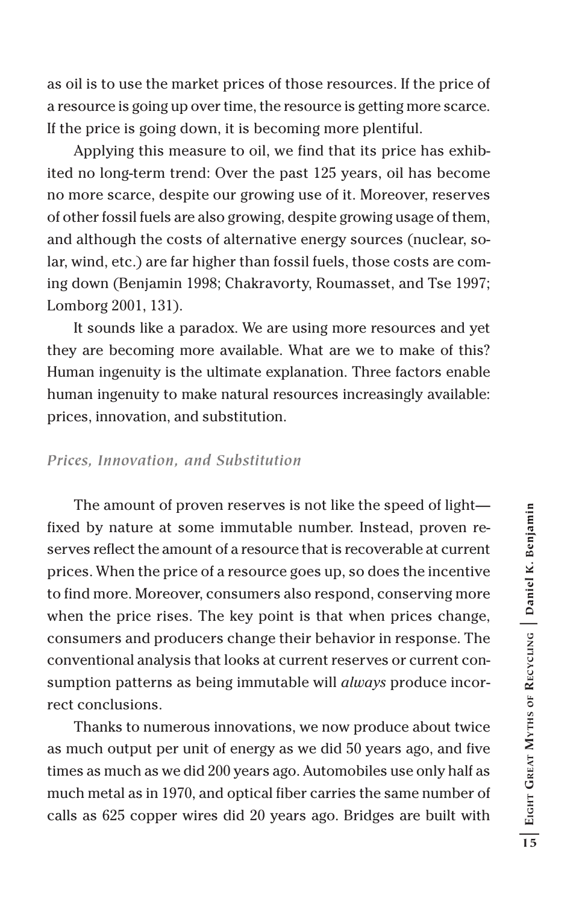as oil is to use the market prices of those resources. If the price of a resource is going up over time, the resource is getting more scarce. If the price is going down, it is becoming more plentiful.

Applying this measure to oil, we find that its price has exhibited no long-term trend: Over the past 125 years, oil has become no more scarce, despite our growing use of it. Moreover, reserves of other fossil fuels are also growing, despite growing usage of them, and although the costs of alternative energy sources (nuclear, solar, wind, etc.) are far higher than fossil fuels, those costs are coming down (Benjamin 1998; Chakravorty, Roumasset, and Tse 1997; Lomborg 2001, 131).

It sounds like a paradox. We are using more resources and yet they are becoming more available. What are we to make of this? Human ingenuity is the ultimate explanation. Three factors enable human ingenuity to make natural resources increasingly available: prices, innovation, and substitution.

#### *Prices, Innovation, and Substitution*

The amount of proven reserves is not like the speed of light fixed by nature at some immutable number. Instead, proven reserves reflect the amount of a resource that is recoverable at current prices. When the price of a resource goes up, so does the incentive to find more. Moreover, consumers also respond, conserving more when the price rises. The key point is that when prices change, consumers and producers change their behavior in response. The conventional analysis that looks at current reserves or current consumption patterns as being immutable will *always* produce incorrect conclusions.

Thanks to numerous innovations, we now produce about twice as much output per unit of energy as we did 50 years ago, and five times as much as we did 200 years ago. Automobiles use only half as much metal as in 1970, and optical fiber carries the same number of calls as 625 copper wires did 20 years ago. Bridges are built with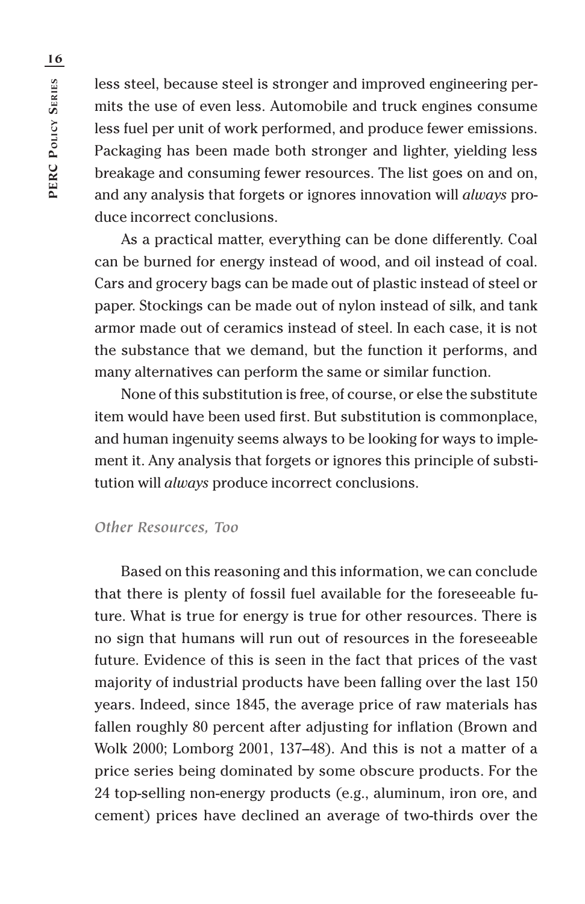PERC POLICY SERIES **PERC POLICY SERIES**

less steel, because steel is stronger and improved engineering permits the use of even less. Automobile and truck engines consume less fuel per unit of work performed, and produce fewer emissions. Packaging has been made both stronger and lighter, yielding less breakage and consuming fewer resources. The list goes on and on, and any analysis that forgets or ignores innovation will *always* produce incorrect conclusions.

As a practical matter, everything can be done differently. Coal can be burned for energy instead of wood, and oil instead of coal. Cars and grocery bags can be made out of plastic instead of steel or paper. Stockings can be made out of nylon instead of silk, and tank armor made out of ceramics instead of steel. In each case, it is not the substance that we demand, but the function it performs, and many alternatives can perform the same or similar function.

None of this substitution is free, of course, or else the substitute item would have been used first. But substitution is commonplace, and human ingenuity seems always to be looking for ways to implement it. Any analysis that forgets or ignores this principle of substitution will *always* produce incorrect conclusions.

#### *Other Resources, Too*

Based on this reasoning and this information, we can conclude that there is plenty of fossil fuel available for the foreseeable future. What is true for energy is true for other resources. There is no sign that humans will run out of resources in the foreseeable future. Evidence of this is seen in the fact that prices of the vast majority of industrial products have been falling over the last 150 years. Indeed, since 1845, the average price of raw materials has fallen roughly 80 percent after adjusting for inflation (Brown and Wolk 2000; Lomborg 2001, 137–48). And this is not a matter of a price series being dominated by some obscure products. For the 24 top-selling non-energy products (e.g., aluminum, iron ore, and cement) prices have declined an average of two-thirds over the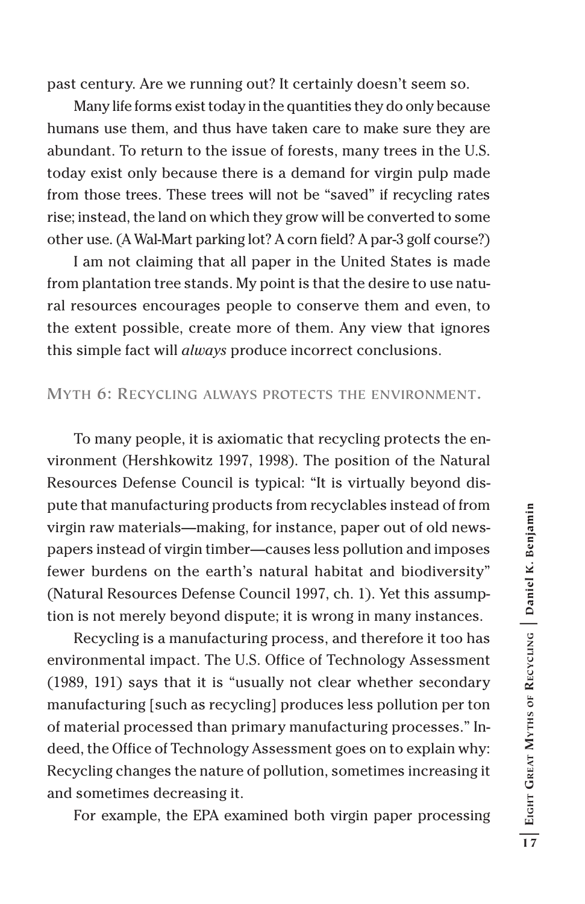past century. Are we running out? It certainly doesn't seem so.

Many life forms exist today in the quantities they do only because humans use them, and thus have taken care to make sure they are abundant. To return to the issue of forests, many trees in the U.S. today exist only because there is a demand for virgin pulp made from those trees. These trees will not be "saved" if recycling rates rise; instead, the land on which they grow will be converted to some other use. (A Wal-Mart parking lot? A corn field? A par-3 golf course?)

I am not claiming that all paper in the United States is made from plantation tree stands. My point is that the desire to use natural resources encourages people to conserve them and even, to the extent possible, create more of them. Any view that ignores this simple fact will *always* produce incorrect conclusions.

#### **MYTH 6: RECYCLING ALWAYS PROTECTS THE ENVIRONMENT.**

To many people, it is axiomatic that recycling protects the environment (Hershkowitz 1997, 1998). The position of the Natural Resources Defense Council is typical: "It is virtually beyond dispute that manufacturing products from recyclables instead of from virgin raw materials—making, for instance, paper out of old newspapers instead of virgin timber—causes less pollution and imposes fewer burdens on the earth's natural habitat and biodiversity" (Natural Resources Defense Council 1997, ch. 1). Yet this assumption is not merely beyond dispute; it is wrong in many instances.

Recycling is a manufacturing process, and therefore it too has environmental impact. The U.S. Office of Technology Assessment (1989, 191) says that it is "usually not clear whether secondary manufacturing [such as recycling] produces less pollution per ton of material processed than primary manufacturing processes." Indeed, the Office of Technology Assessment goes on to explain why: Recycling changes the nature of pollution, sometimes increasing it and sometimes decreasing it.

For example, the EPA examined both virgin paper processing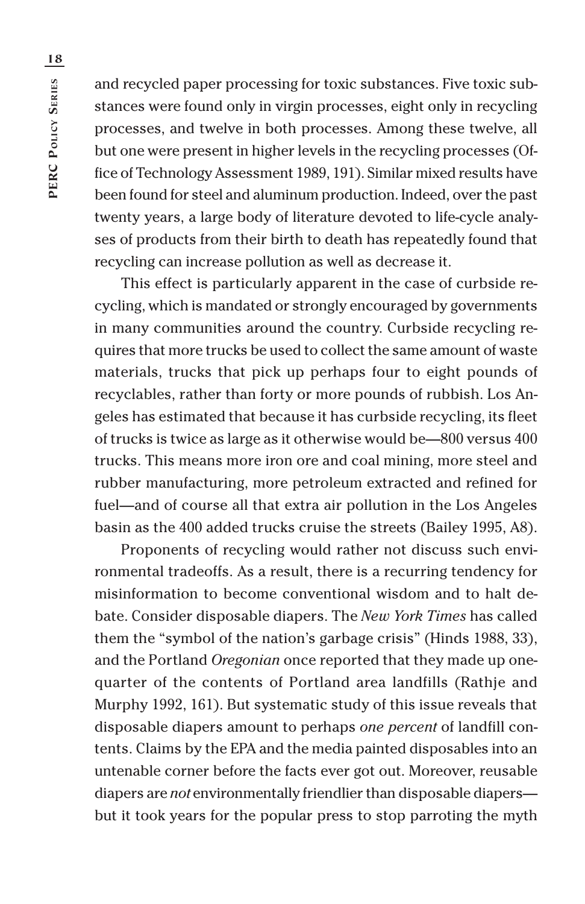and recycled paper processing for toxic substances. Five toxic substances were found only in virgin processes, eight only in recycling processes, and twelve in both processes. Among these twelve, all but one were present in higher levels in the recycling processes (Office of Technology Assessment 1989, 191). Similar mixed results have been found for steel and aluminum production. Indeed, over the past twenty years, a large body of literature devoted to life-cycle analyses of products from their birth to death has repeatedly found that recycling can increase pollution as well as decrease it.

This effect is particularly apparent in the case of curbside recycling, which is mandated or strongly encouraged by governments in many communities around the country. Curbside recycling requires that more trucks be used to collect the same amount of waste materials, trucks that pick up perhaps four to eight pounds of recyclables, rather than forty or more pounds of rubbish. Los Angeles has estimated that because it has curbside recycling, its fleet of trucks is twice as large as it otherwise would be—800 versus 400 trucks. This means more iron ore and coal mining, more steel and rubber manufacturing, more petroleum extracted and refined for fuel—and of course all that extra air pollution in the Los Angeles basin as the 400 added trucks cruise the streets (Bailey 1995, A8).

Proponents of recycling would rather not discuss such environmental tradeoffs. As a result, there is a recurring tendency for misinformation to become conventional wisdom and to halt debate. Consider disposable diapers. The *New York Times* has called them the "symbol of the nation's garbage crisis" (Hinds 1988, 33), and the Portland *Oregonian* once reported that they made up onequarter of the contents of Portland area landfills (Rathje and Murphy 1992, 161). But systematic study of this issue reveals that disposable diapers amount to perhaps *one percent* of landfill contents. Claims by the EPA and the media painted disposables into an untenable corner before the facts ever got out. Moreover, reusable diapers are *not* environmentally friendlier than disposable diapers but it took years for the popular press to stop parroting the myth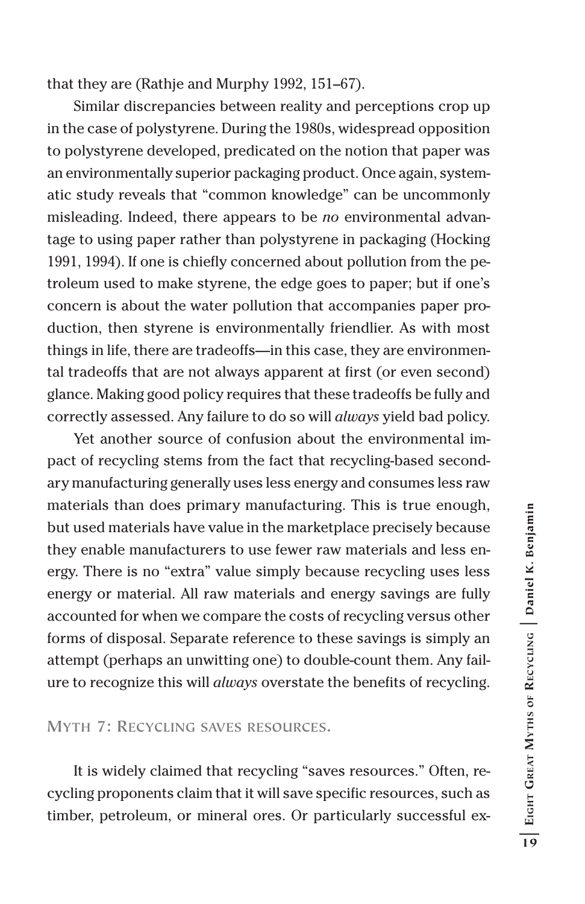that they are (Rathje and Murphy 1992, 151–67).

Similar discrepancies between reality and perceptions crop up in the case of polystyrene. During the 1980s, widespread opposition to polystyrene developed, predicated on the notion that paper was an environmentally superior packaging product. Once again, systematic study reveals that "common knowledge" can be uncommonly misleading. Indeed, there appears to be *no* environmental advantage to using paper rather than polystyrene in packaging (Hocking 1991, 1994). If one is chiefly concerned about pollution from the petroleum used to make styrene, the edge goes to paper; but if one's concern is about the water pollution that accompanies paper production, then styrene is environmentally friendlier. As with most things in life, there are tradeoffs—in this case, they are environmental tradeoffs that are not always apparent at first (or even second) glance. Making good policy requires that these tradeoffs be fully and correctly assessed. Any failure to do so will *always* yield bad policy.

Yet another source of confusion about the environmental impact of recycling stems from the fact that recycling-based secondary manufacturing generally uses less energy and consumes less raw materials than does primary manufacturing. This is true enough, but used materials have value in the marketplace precisely because they enable manufacturers to use fewer raw materials and less energy. There is no "extra" value simply because recycling uses less energy or material. All raw materials and energy savings are fully accounted for when we compare the costs of recycling versus other forms of disposal. Separate reference to these savings is simply an attempt (perhaps an unwitting one) to double-count them. Any failure to recognize this will *always* overstate the benefits of recycling.

**MYTH 7: RECYCLING SAVES RESOURCES.**

It is widely claimed that recycling "saves resources." Often, recycling proponents claim that it will save specific resources, such as timber, petroleum, or mineral ores. Or particularly successful ex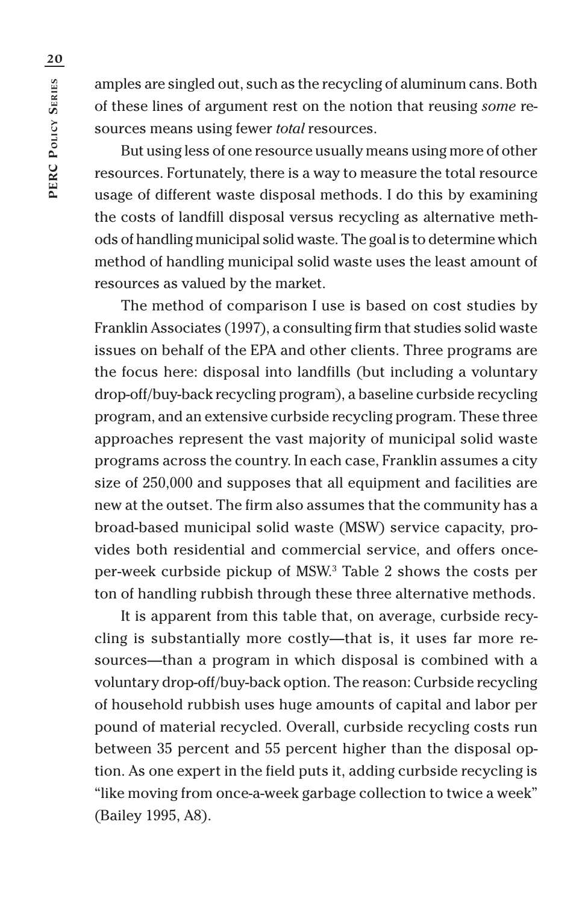amples are singled out, such as the recycling of aluminum cans. Both of these lines of argument rest on the notion that reusing *some* resources means using fewer *total* resources.

But using less of one resource usually means using more of other resources. Fortunately, there is a way to measure the total resource usage of different waste disposal methods. I do this by examining the costs of landfill disposal versus recycling as alternative methods of handling municipal solid waste. The goal is to determine which method of handling municipal solid waste uses the least amount of resources as valued by the market.

The method of comparison I use is based on cost studies by Franklin Associates (1997), a consulting firm that studies solid waste issues on behalf of the EPA and other clients. Three programs are the focus here: disposal into landfills (but including a voluntary drop-off/buy-back recycling program), a baseline curbside recycling program, and an extensive curbside recycling program. These three approaches represent the vast majority of municipal solid waste programs across the country. In each case, Franklin assumes a city size of 250,000 and supposes that all equipment and facilities are new at the outset. The firm also assumes that the community has a broad-based municipal solid waste (MSW) service capacity, provides both residential and commercial service, and offers onceper-week curbside pickup of MSW.3 Table 2 shows the costs per ton of handling rubbish through these three alternative methods.

It is apparent from this table that, on average, curbside recycling is substantially more costly—that is, it uses far more resources—than a program in which disposal is combined with a voluntary drop-off/buy-back option. The reason: Curbside recycling of household rubbish uses huge amounts of capital and labor per pound of material recycled. Overall, curbside recycling costs run between 35 percent and 55 percent higher than the disposal option. As one expert in the field puts it, adding curbside recycling is "like moving from once-a-week garbage collection to twice a week" (Bailey 1995, A8).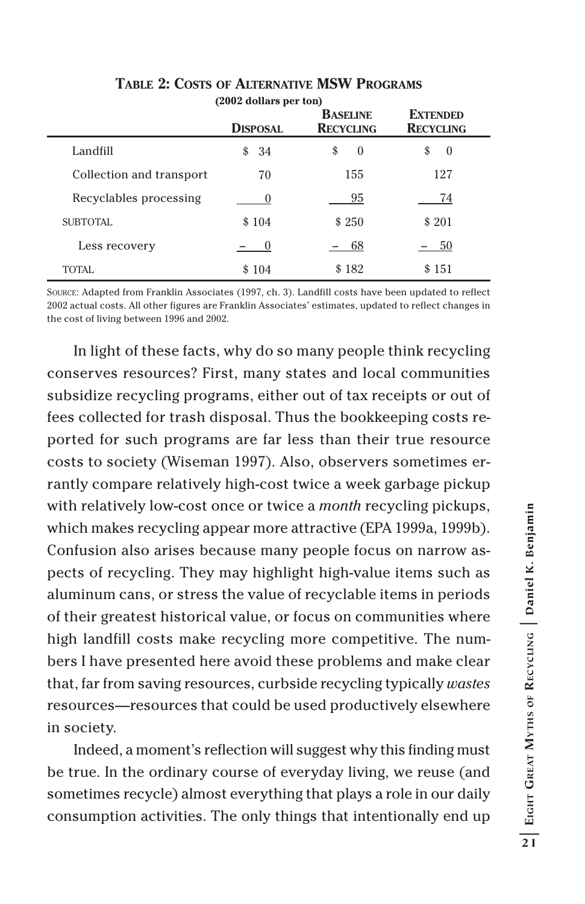|                          | (2002 dollars per ton)<br><b>DISPOSAL</b> | <b>BASELINE</b><br><b>RECYCLING</b> | <b>EXTENDED</b><br><b>RECYCLING</b> |
|--------------------------|-------------------------------------------|-------------------------------------|-------------------------------------|
| Landfill                 | \$34                                      | \$<br>$\Omega$                      | \$<br>$\theta$                      |
| Collection and transport | 70                                        | 155                                 | 127                                 |
| Recyclables processing   |                                           | 95                                  | 74                                  |
| SUBTOTAL                 | \$104                                     | \$250                               | \$201                               |
| Less recovery            |                                           | -68                                 | - 50                                |
| TOTAL.                   | \$104                                     | \$182                               | \$151                               |

### **TABLE 2: COSTS OF ALTERNATIVE MSW PROGRAMS**

SOURCE: Adapted from Franklin Associates (1997, ch. 3). Landfill costs have been updated to reflect 2002 actual costs. All other figures are Franklin Associates' estimates, updated to reflect changes in the cost of living between 1996 and 2002.

In light of these facts, why do so many people think recycling conserves resources? First, many states and local communities subsidize recycling programs, either out of tax receipts or out of fees collected for trash disposal. Thus the bookkeeping costs reported for such programs are far less than their true resource costs to society (Wiseman 1997). Also, observers sometimes errantly compare relatively high-cost twice a week garbage pickup with relatively low-cost once or twice a *month* recycling pickups, which makes recycling appear more attractive (EPA 1999a, 1999b). Confusion also arises because many people focus on narrow aspects of recycling. They may highlight high-value items such as aluminum cans, or stress the value of recyclable items in periods of their greatest historical value, or focus on communities where high landfill costs make recycling more competitive. The numbers I have presented here avoid these problems and make clear that, far from saving resources, curbside recycling typically *wastes* resources—resources that could be used productively elsewhere in society.

Indeed, a moment's reflection will suggest why this finding must be true. In the ordinary course of everyday living, we reuse (and sometimes recycle) almost everything that plays a role in our daily consumption activities. The only things that intentionally end up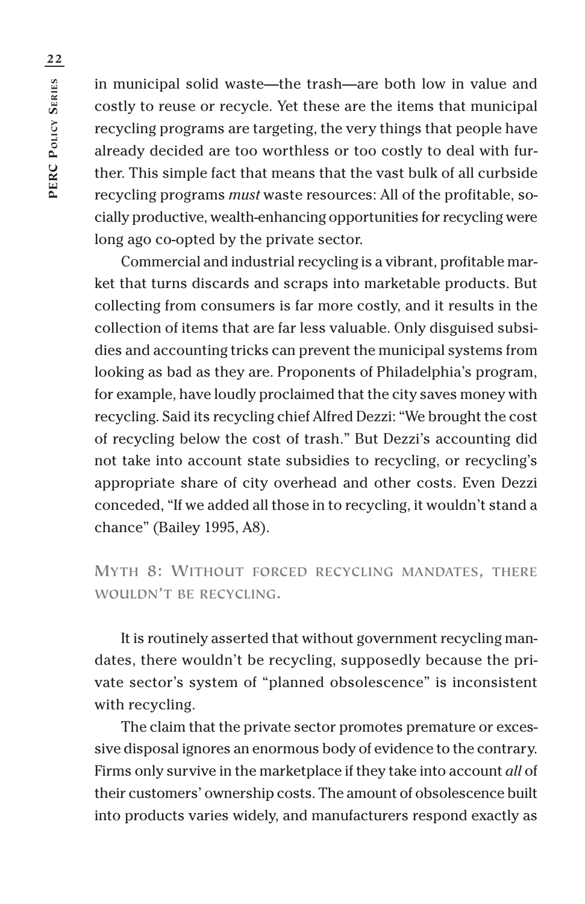in municipal solid waste—the trash—are both low in value and costly to reuse or recycle. Yet these are the items that municipal recycling programs are targeting, the very things that people have already decided are too worthless or too costly to deal with further. This simple fact that means that the vast bulk of all curbside recycling programs *must* waste resources: All of the profitable, socially productive, wealth-enhancing opportunities for recycling were long ago co-opted by the private sector.

Commercial and industrial recycling is a vibrant, profitable market that turns discards and scraps into marketable products. But collecting from consumers is far more costly, and it results in the collection of items that are far less valuable. Only disguised subsidies and accounting tricks can prevent the municipal systems from looking as bad as they are. Proponents of Philadelphia's program, for example, have loudly proclaimed that the city saves money with recycling. Said its recycling chief Alfred Dezzi: "We brought the cost of recycling below the cost of trash." But Dezzi's accounting did not take into account state subsidies to recycling, or recycling's appropriate share of city overhead and other costs. Even Dezzi conceded, "If we added all those in to recycling, it wouldn't stand a chance" (Bailey 1995, A8).

**MYTH 8: WITHOUT FORCED RECYCLING MANDATES, THERE WOULDN'T BE RECYCLING.**

It is routinely asserted that without government recycling mandates, there wouldn't be recycling, supposedly because the private sector's system of "planned obsolescence" is inconsistent with recycling.

The claim that the private sector promotes premature or excessive disposal ignores an enormous body of evidence to the contrary. Firms only survive in the marketplace if they take into account *all* of their customers' ownership costs. The amount of obsolescence built into products varies widely, and manufacturers respond exactly as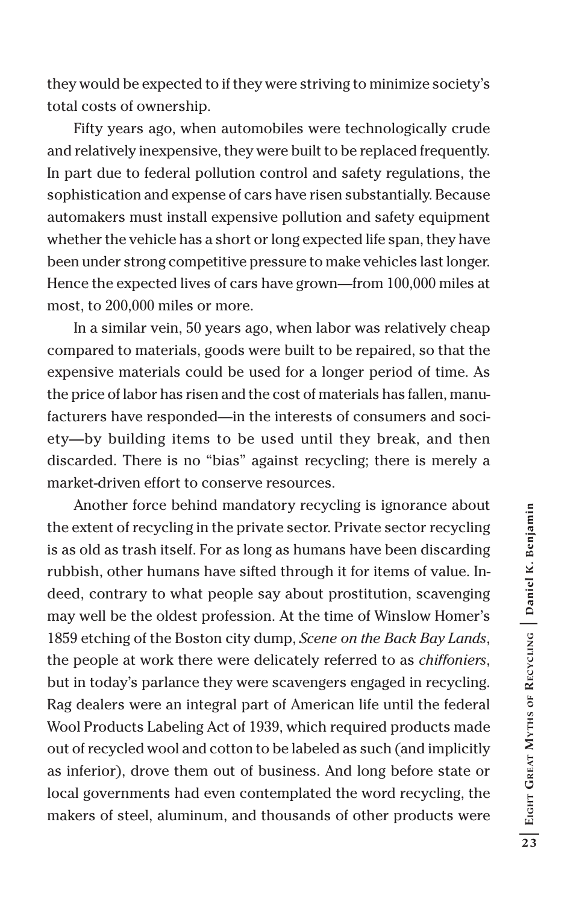they would be expected to if they were striving to minimize society's total costs of ownership.

Fifty years ago, when automobiles were technologically crude and relatively inexpensive, they were built to be replaced frequently. In part due to federal pollution control and safety regulations, the sophistication and expense of cars have risen substantially. Because automakers must install expensive pollution and safety equipment whether the vehicle has a short or long expected life span, they have been under strong competitive pressure to make vehicles last longer. Hence the expected lives of cars have grown—from 100,000 miles at most, to 200,000 miles or more.

In a similar vein, 50 years ago, when labor was relatively cheap compared to materials, goods were built to be repaired, so that the expensive materials could be used for a longer period of time. As the price of labor has risen and the cost of materials has fallen, manufacturers have responded—in the interests of consumers and society—by building items to be used until they break, and then discarded. There is no "bias" against recycling; there is merely a market-driven effort to conserve resources.

Another force behind mandatory recycling is ignorance about the extent of recycling in the private sector. Private sector recycling is as old as trash itself. For as long as humans have been discarding rubbish, other humans have sifted through it for items of value. Indeed, contrary to what people say about prostitution, scavenging may well be the oldest profession. At the time of Winslow Homer's 1859 etching of the Boston city dump, *Scene on the Back Bay Lands*, the people at work there were delicately referred to as *chiffoniers*, but in today's parlance they were scavengers engaged in recycling. Rag dealers were an integral part of American life until the federal Wool Products Labeling Act of 1939, which required products made out of recycled wool and cotton to be labeled as such (and implicitly as inferior), drove them out of business. And long before state or local governments had even contemplated the word recycling, the makers of steel, aluminum, and thousands of other products were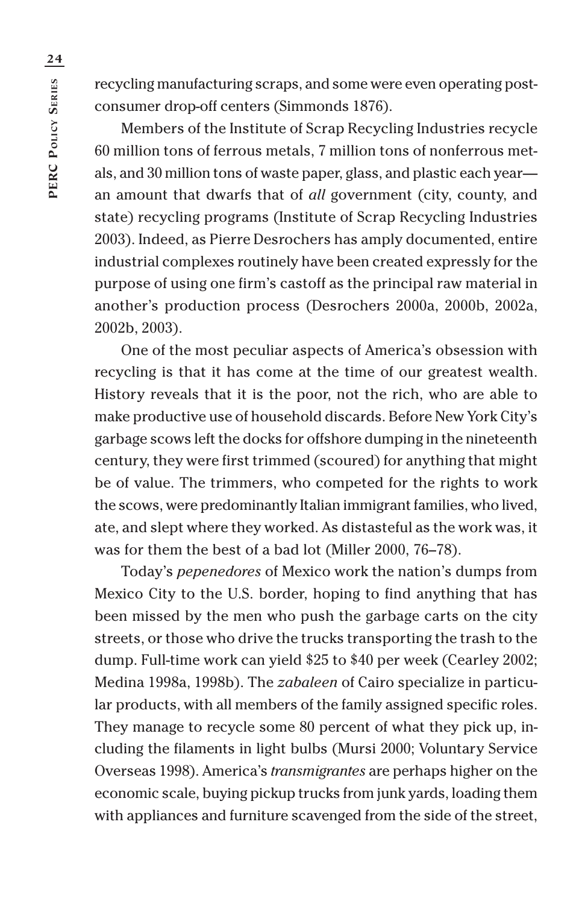recycling manufacturing scraps, and some were even operating postconsumer drop-off centers (Simmonds 1876).

Members of the Institute of Scrap Recycling Industries recycle 60 million tons of ferrous metals, 7 million tons of nonferrous metals, and 30 million tons of waste paper, glass, and plastic each year an amount that dwarfs that of *all* government (city, county, and state) recycling programs (Institute of Scrap Recycling Industries 2003). Indeed, as Pierre Desrochers has amply documented, entire industrial complexes routinely have been created expressly for the purpose of using one firm's castoff as the principal raw material in another's production process (Desrochers 2000a, 2000b, 2002a, 2002b, 2003).

One of the most peculiar aspects of America's obsession with recycling is that it has come at the time of our greatest wealth. History reveals that it is the poor, not the rich, who are able to make productive use of household discards. Before New York City's garbage scows left the docks for offshore dumping in the nineteenth century, they were first trimmed (scoured) for anything that might be of value. The trimmers, who competed for the rights to work the scows, were predominantly Italian immigrant families, who lived, ate, and slept where they worked. As distasteful as the work was, it was for them the best of a bad lot (Miller 2000, 76–78).

Today's *pepenedores* of Mexico work the nation's dumps from Mexico City to the U.S. border, hoping to find anything that has been missed by the men who push the garbage carts on the city streets, or those who drive the trucks transporting the trash to the dump. Full-time work can yield \$25 to \$40 per week (Cearley 2002; Medina 1998a, 1998b). The *zabaleen* of Cairo specialize in particular products, with all members of the family assigned specific roles. They manage to recycle some 80 percent of what they pick up, including the filaments in light bulbs (Mursi 2000; Voluntary Service Overseas 1998). America's *transmigrantes* are perhaps higher on the economic scale, buying pickup trucks from junk yards, loading them with appliances and furniture scavenged from the side of the street,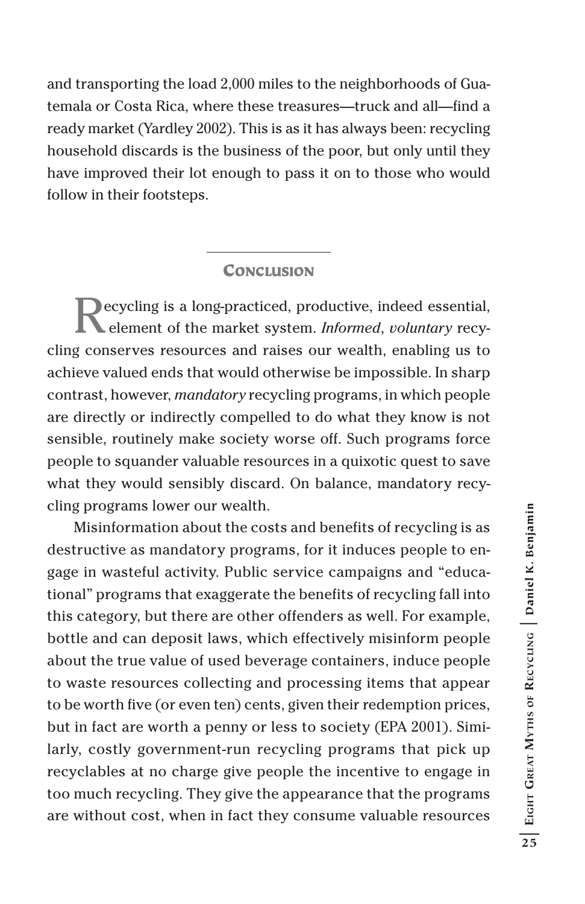and transporting the load 2,000 miles to the neighborhoods of Guatemala or Costa Rica, where these treasures—truck and all—find a ready market (Yardley 2002). This is as it has always been: recycling household discards is the business of the poor, but only until they have improved their lot enough to pass it on to those who would follow in their footsteps.

#### **CONCLUSION**

Recycling is a long-practiced, productive, indeed essential, element of the market system. *Informed*, *voluntary* recycling conserves resources and raises our wealth, enabling us to achieve valued ends that would otherwise be impossible. In sharp contrast, however, *mandatory* recycling programs, in which people are directly or indirectly compelled to do what they know is not sensible, routinely make society worse off. Such programs force people to squander valuable resources in a quixotic quest to save what they would sensibly discard. On balance, mandatory recycling programs lower our wealth.

Misinformation about the costs and benefits of recycling is as destructive as mandatory programs, for it induces people to engage in wasteful activity. Public service campaigns and "educational" programs that exaggerate the benefits of recycling fall into this category, but there are other offenders as well. For example, bottle and can deposit laws, which effectively misinform people about the true value of used beverage containers, induce people to waste resources collecting and processing items that appear to be worth five (or even ten) cents, given their redemption prices, but in fact are worth a penny or less to society (EPA 2001). Similarly, costly government-run recycling programs that pick up recyclables at no charge give people the incentive to engage in too much recycling. They give the appearance that the programs are without cost, when in fact they consume valuable resources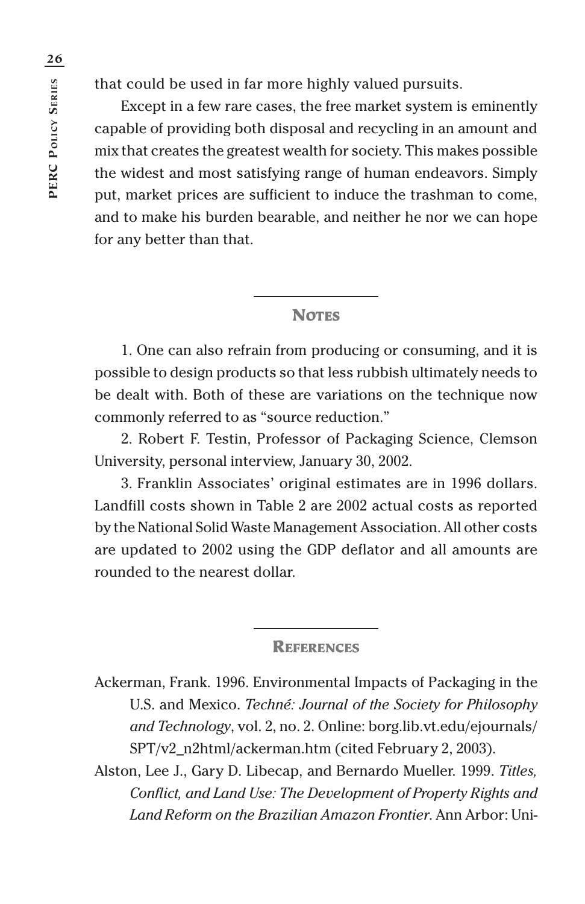that could be used in far more highly valued pursuits.

Except in a few rare cases, the free market system is eminently capable of providing both disposal and recycling in an amount and mix that creates the greatest wealth for society. This makes possible the widest and most satisfying range of human endeavors. Simply put, market prices are sufficient to induce the trashman to come, and to make his burden bearable, and neither he nor we can hope for any better than that.

#### **NOTES**

1. One can also refrain from producing or consuming, and it is possible to design products so that less rubbish ultimately needs to be dealt with. Both of these are variations on the technique now commonly referred to as "source reduction."

2. Robert F. Testin, Professor of Packaging Science, Clemson University, personal interview, January 30, 2002.

3. Franklin Associates' original estimates are in 1996 dollars. Landfill costs shown in Table 2 are 2002 actual costs as reported by the National Solid Waste Management Association. All other costs are updated to 2002 using the GDP deflator and all amounts are rounded to the nearest dollar.

#### **REFERENCES**

Ackerman, Frank. 1996. Environmental Impacts of Packaging in the U.S. and Mexico. *Techné: Journal of the Society for Philosophy and Technology*, vol. 2, no. 2. Online: borg.lib.vt.edu/ejournals/ SPT/v2\_n2html/ackerman.htm (cited February 2, 2003).

Alston, Lee J., Gary D. Libecap, and Bernardo Mueller. 1999. *Titles, Conflict, and Land Use: The Development of Property Rights and Land Reform on the Brazilian Amazon Frontier*. Ann Arbor: Uni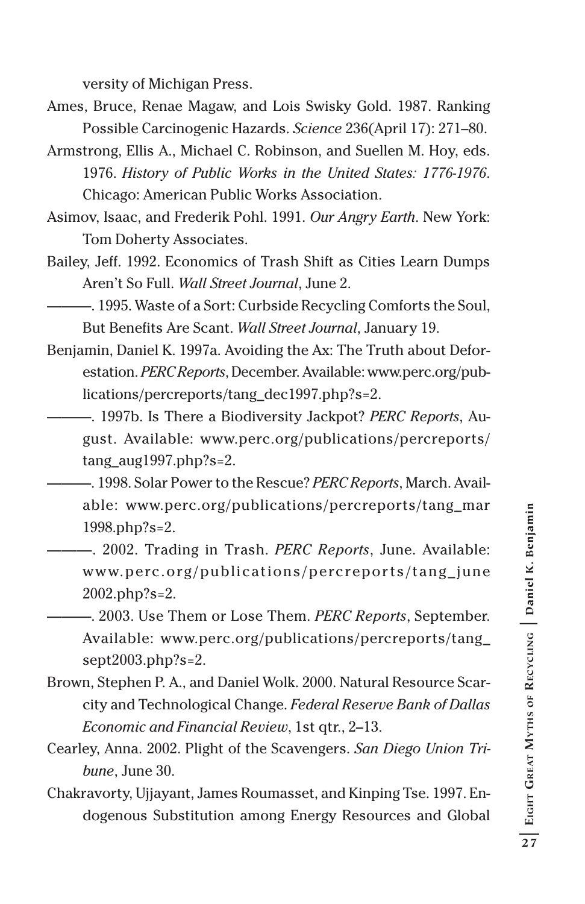versity of Michigan Press.

- Ames, Bruce, Renae Magaw, and Lois Swisky Gold. 1987. Ranking Possible Carcinogenic Hazards. *Science* 236(April 17): 271–80.
- Armstrong, Ellis A., Michael C. Robinson, and Suellen M. Hoy, eds. 1976. *History of Public Works in the United States: 1776-1976*. Chicago: American Public Works Association.
- Asimov, Isaac, and Frederik Pohl. 1991. *Our Angry Earth*. New York: Tom Doherty Associates.
- Bailey, Jeff. 1992. Economics of Trash Shift as Cities Learn Dumps Aren't So Full. *Wall Street Journal*, June 2.
- ———. 1995. Waste of a Sort: Curbside Recycling Comforts the Soul, But Benefits Are Scant. *Wall Street Journal*, January 19.
- Benjamin, Daniel K. 1997a. Avoiding the Ax: The Truth about Deforestation. *PERC Reports*, December. Available: www.perc.org/publications/percreports/tang\_dec1997.php?s=2.
- ———. 1997b. Is There a Biodiversity Jackpot? *PERC Reports*, August. Available: www.perc.org/publications/percreports/ tang\_aug1997.php?s=2.
- ———. 1998. Solar Power to the Rescue? *PERC Reports*, March. Available: www.perc.org/publications/percreports/tang\_mar 1998.php?s=2.
- ———. 2002. Trading in Trash. *PERC Reports*, June. Available: www.perc.org/publications/percreports/tang\_june 2002.php?s=2.
- ———. 2003. Use Them or Lose Them. *PERC Reports*, September. Available: www.perc.org/publications/percreports/tang\_ sept2003.php?s=2.
- Brown, Stephen P. A., and Daniel Wolk. 2000. Natural Resource Scarcity and Technological Change. *Federal Reserve Bank of Dallas Economic and Financial Review*, 1st qtr., 2–13.
- Cearley, Anna. 2002. Plight of the Scavengers. *San Diego Union Tribune*, June 30.
- Chakravorty, Ujjayant, James Roumasset, and Kinping Tse. 1997. Endogenous Substitution among Energy Resources and Global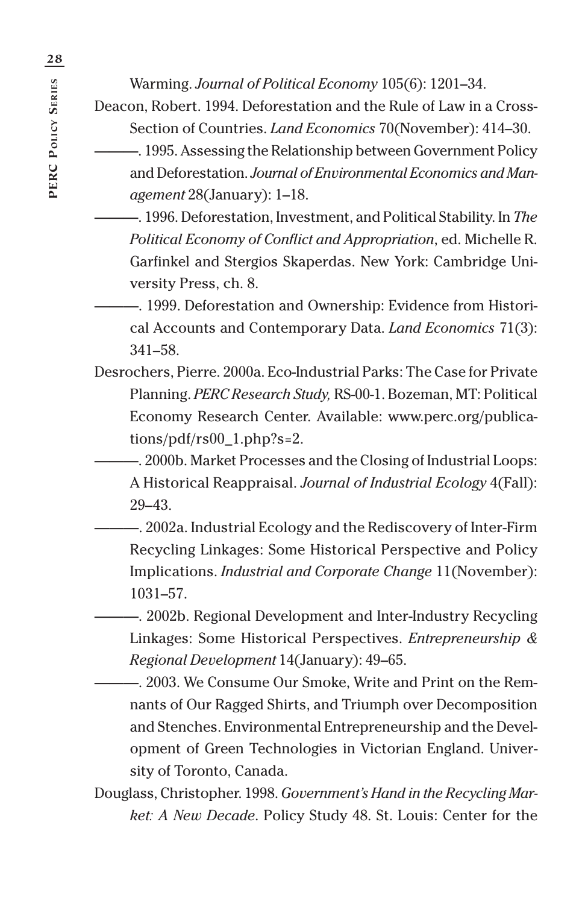Warming. *Journal of Political Economy* 105(6): 1201–34.

Deacon, Robert. 1994. Deforestation and the Rule of Law in a Cross-Section of Countries. *Land Economics* 70(November): 414–30.

———. 1995. Assessing the Relationship between Government Policy and Deforestation. *Journal of Environmental Economics and Management* 28(January): 1–18.

- ———. 1996. Deforestation, Investment, and Political Stability. In *The Political Economy of Conflict and Appropriation*, ed. Michelle R. Garfinkel and Stergios Skaperdas. New York: Cambridge University Press, ch. 8.
- ———. 1999. Deforestation and Ownership: Evidence from Historical Accounts and Contemporary Data. *Land Economics* 71(3): 341–58.
- Desrochers, Pierre. 2000a. Eco-Industrial Parks: The Case for Private Planning. *PERC Research Study,* RS-00-1. Bozeman, MT: Political Economy Research Center. Available: www.perc.org/publications/pdf/rs00\_1.php?s=2.
	- ———. 2000b. Market Processes and the Closing of Industrial Loops: A Historical Reappraisal. *Journal of Industrial Ecology* 4(Fall): 29–43.
	- ———. 2002a. Industrial Ecology and the Rediscovery of Inter-Firm Recycling Linkages: Some Historical Perspective and Policy Implications. *Industrial and Corporate Change* 11(November): 1031–57.
		- $-$ , 2002b. Regional Development and Inter-Industry Recycling Linkages: Some Historical Perspectives. *Entrepreneurship & Regional Development* 14(January): 49–65.
	- ———. 2003. We Consume Our Smoke, Write and Print on the Remnants of Our Ragged Shirts, and Triumph over Decomposition and Stenches. Environmental Entrepreneurship and the Development of Green Technologies in Victorian England. University of Toronto, Canada.
- Douglass, Christopher. 1998. *Government's Hand in the Recycling Market: A New Decade*. Policy Study 48. St. Louis: Center for the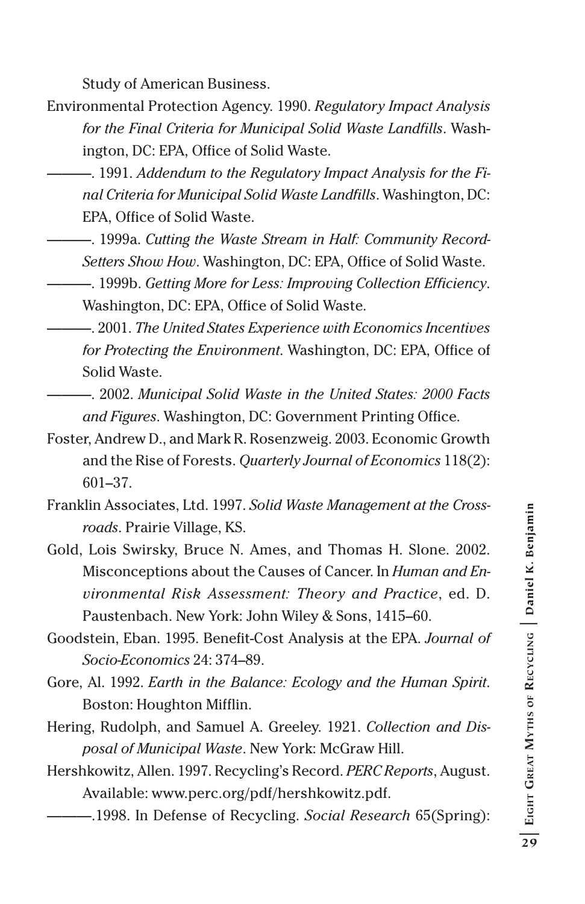Study of American Business.

- Environmental Protection Agency. 1990. *Regulatory Impact Analysis for the Final Criteria for Municipal Solid Waste Landfills*. Washington, DC: EPA, Office of Solid Waste.
	- $-$ , 1991. *Addendum to the Regulatory Impact Analysis for the Final Criteria for Municipal Solid Waste Landfills*. Washington, DC: EPA, Office of Solid Waste.
	- ———. 1999a. *Cutting the Waste Stream in Half: Community Record-Setters Show How*. Washington, DC: EPA, Office of Solid Waste.
		- ———. 1999b. *Getting More for Less: Improving Collection Efficiency*. Washington, DC: EPA, Office of Solid Waste.
		- ———. 2001. *The United States Experience with Economics Incentives for Protecting the Environment*. Washington, DC: EPA, Office of Solid Waste.
- ———. 2002. *Municipal Solid Waste in the United States: 2000 Facts and Figures*. Washington, DC: Government Printing Office.
- Foster, Andrew D., and Mark R. Rosenzweig. 2003. Economic Growth and the Rise of Forests. *Quarterly Journal of Economics* 118(2): 601–37.
- Franklin Associates, Ltd. 1997. *Solid Waste Management at the Crossroads*. Prairie Village, KS.
- Gold, Lois Swirsky, Bruce N. Ames, and Thomas H. Slone. 2002. Misconceptions about the Causes of Cancer. In *Human and Environmental Risk Assessment: Theory and Practice*, ed. D. Paustenbach. New York: John Wiley & Sons, 1415–60.
- Goodstein, Eban. 1995. Benefit-Cost Analysis at the EPA. *Journal of Socio-Economics* 24: 374–89.
- Gore, Al. 1992. *Earth in the Balance: Ecology and the Human Spirit*. Boston: Houghton Mifflin.
- Hering, Rudolph, and Samuel A. Greeley. 1921. *Collection and Disposal of Municipal Waste*. New York: McGraw Hill.
- Hershkowitz, Allen. 1997. Recycling's Record. *PERC Reports*, August. Available: www.perc.org/pdf/hershkowitz.pdf.
	- ———.1998. In Defense of Recycling. *Social Research* 65(Spring):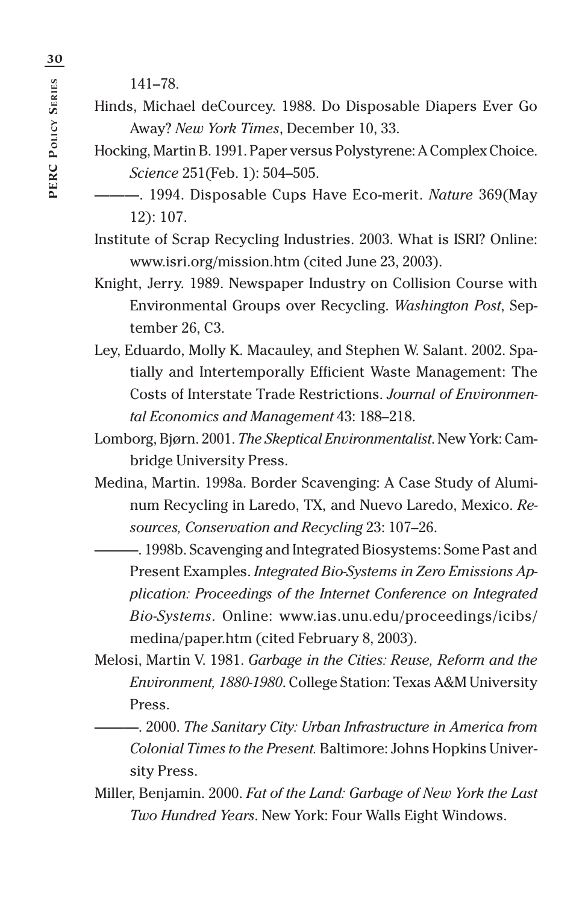141–78.

- Hinds, Michael deCourcey. 1988. Do Disposable Diapers Ever Go Away? *New York Times*, December 10, 33.
- Hocking, Martin B. 1991. Paper versus Polystyrene: A Complex Choice. *Science* 251(Feb. 1): 504–505.
	- ———. 1994. Disposable Cups Have Eco-merit. *Nature* 369(May 12): 107.

Institute of Scrap Recycling Industries. 2003. What is ISRI? Online: www.isri.org/mission.htm (cited June 23, 2003).

- Knight, Jerry. 1989. Newspaper Industry on Collision Course with Environmental Groups over Recycling. *Washington Post*, September 26, C3.
- Ley, Eduardo, Molly K. Macauley, and Stephen W. Salant. 2002. Spatially and Intertemporally Efficient Waste Management: The Costs of Interstate Trade Restrictions. *Journal of Environmental Economics and Management* 43: 188–218.
- Lomborg, Bjørn. 2001. *The Skeptical Environmentalist*. New York: Cambridge University Press.
- Medina, Martin. 1998a. Border Scavenging: A Case Study of Aluminum Recycling in Laredo, TX, and Nuevo Laredo, Mexico. *Resources, Conservation and Recycling* 23: 107–26.

———. 1998b. Scavenging and Integrated Biosystems: Some Past and Present Examples. *Integrated Bio-Systems in Zero Emissions Application: Proceedings of the Internet Conference on Integrated Bio-Systems*. Online: www.ias.unu.edu/proceedings/icibs/ medina/paper.htm (cited February 8, 2003).

- Melosi, Martin V. 1981. *Garbage in the Cities: Reuse, Reform and the Environment, 1880-1980*. College Station: Texas A&M University Press.
	- ———. 2000. *The Sanitary City: Urban Infrastructure in America from Colonial Times to the Present.* Baltimore: Johns Hopkins University Press.
- Miller, Benjamin. 2000. *Fat of the Land: Garbage of New York the Last Two Hundred Years*. New York: Four Walls Eight Windows.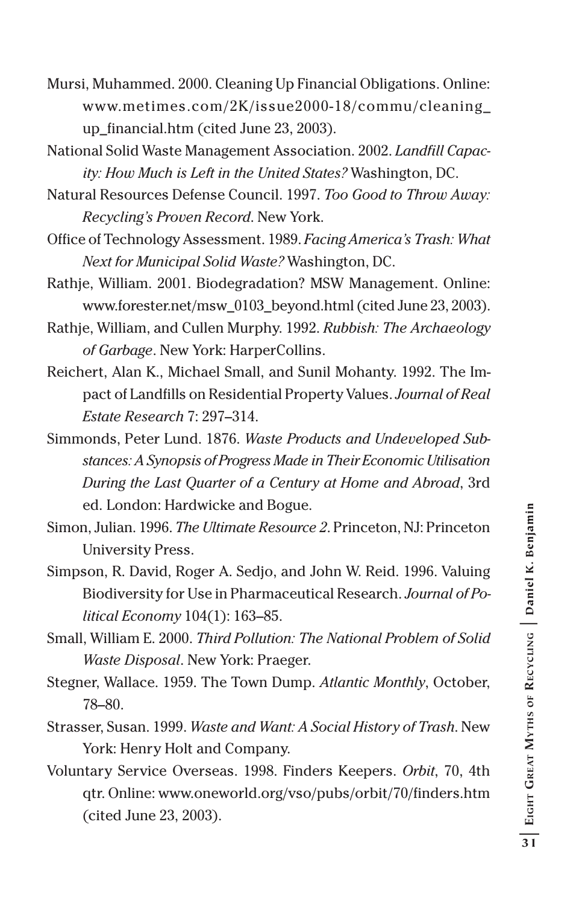- Mursi, Muhammed. 2000. Cleaning Up Financial Obligations. Online: www.metimes.com/2K/issue2000-18/commu/cleaning\_ up\_financial.htm (cited June 23, 2003).
- National Solid Waste Management Association. 2002. *Landfill Capacity: How Much is Left in the United States?* Washington, DC.
- Natural Resources Defense Council. 1997. *Too Good to Throw Away: Recycling's Proven Record*. New York.
- Office of Technology Assessment. 1989. *Facing America's Trash: What Next for Municipal Solid Waste?* Washington, DC.
- Rathje, William. 2001. Biodegradation? MSW Management. Online: www.forester.net/msw\_0103\_beyond.html (cited June 23, 2003).
- Rathje, William, and Cullen Murphy. 1992. *Rubbish: The Archaeology of Garbage*. New York: HarperCollins.
- Reichert, Alan K., Michael Small, and Sunil Mohanty. 1992. The Impact of Landfills on Residential Property Values. *Journal of Real Estate Research* 7: 297–314.
- Simmonds, Peter Lund. 1876. *Waste Products and Undeveloped Substances: A Synopsis of Progress Made in Their Economic Utilisation During the Last Quarter of a Century at Home and Abroad*, 3rd ed. London: Hardwicke and Bogue.
- Simon, Julian. 1996. *The Ultimate Resource 2*. Princeton, NJ: Princeton University Press.
- Simpson, R. David, Roger A. Sedjo, and John W. Reid. 1996. Valuing Biodiversity for Use in Pharmaceutical Research. *Journal of Political Economy* 104(1): 163–85.
- Small, William E. 2000. *Third Pollution: The National Problem of Solid Waste Disposal*. New York: Praeger.
- Stegner, Wallace. 1959. The Town Dump. *Atlantic Monthly*, October, 78–80.
- Strasser, Susan. 1999. *Waste and Want: A Social History of Trash*. New York: Henry Holt and Company.
- Voluntary Service Overseas. 1998. Finders Keepers. *Orbit*, 70, 4th qtr. Online: www.oneworld.org/vso/pubs/orbit/70/finders.htm (cited June 23, 2003).